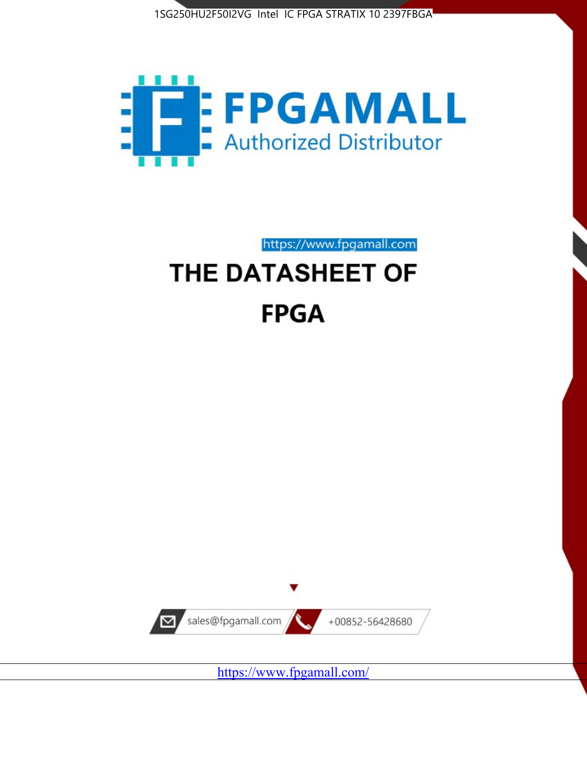



https://www.fpgamall.com

# THE DATASHEET OF **FPGA**



<https://www.fpgamall.com/>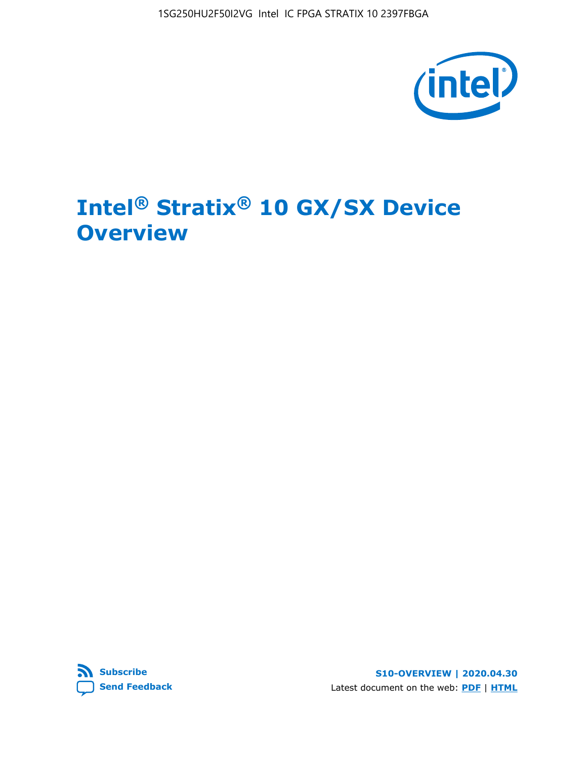1SG250HU2F50I2VG Intel IC FPGA STRATIX 10 2397FBGA



# **Intel® Stratix® 10 GX/SX Device Overview**



**S10-OVERVIEW | 2020.04.30** Latest document on the web: **[PDF](https://www.intel.com/content/dam/www/programmable/us/en/pdfs/literature/hb/stratix-10/s10-overview.pdf)** | **[HTML](https://www.intel.com/content/www/us/en/programmable/documentation/joc1442261161666.html)**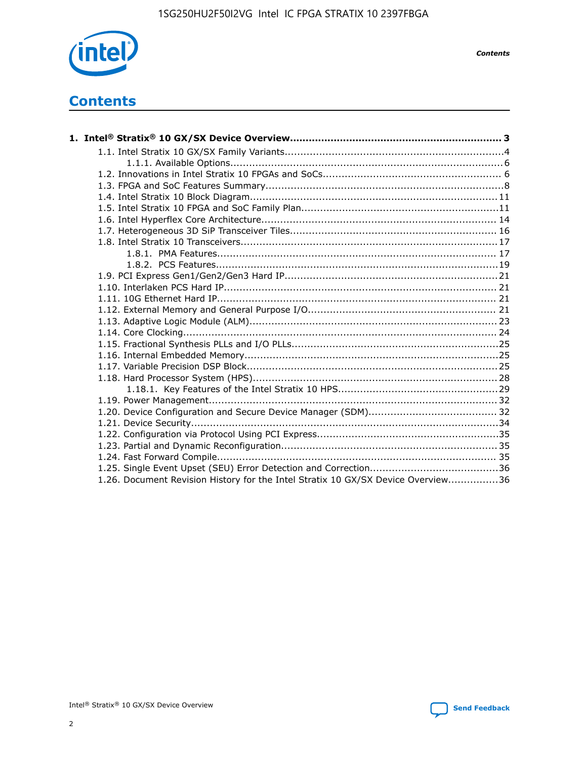

*Contents*

# **Contents**

| 1.26. Document Revision History for the Intel Stratix 10 GX/SX Device Overview36 |  |
|----------------------------------------------------------------------------------|--|

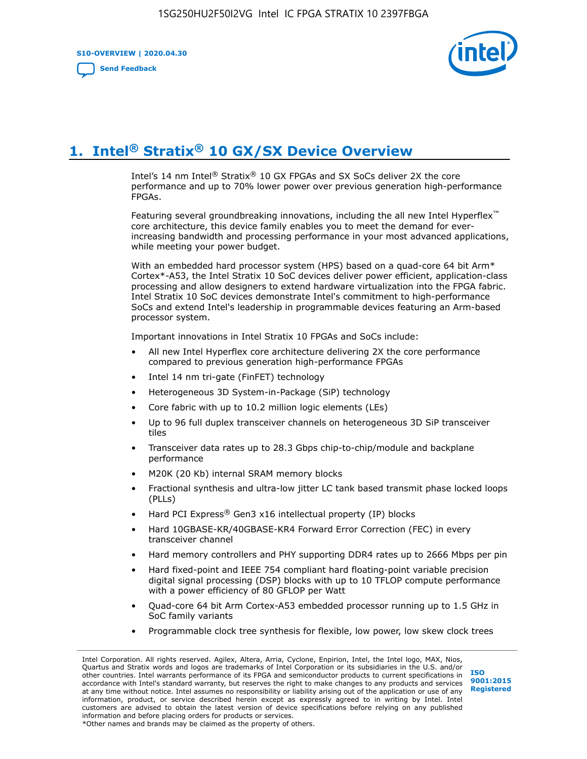**S10-OVERVIEW | 2020.04.30**

**[Send Feedback](mailto:FPGAtechdocfeedback@intel.com?subject=Feedback%20on%20Intel%20Stratix%2010%20GX/SX%20Device%20Overview%20(S10-OVERVIEW%202020.04.30)&body=We%20appreciate%20your%20feedback.%20In%20your%20comments,%20also%20specify%20the%20page%20number%20or%20paragraph.%20Thank%20you.)**



# **1. Intel® Stratix® 10 GX/SX Device Overview**

Intel's 14 nm Intel® Stratix® 10 GX FPGAs and SX SoCs deliver 2X the core performance and up to 70% lower power over previous generation high-performance FPGAs.

Featuring several groundbreaking innovations, including the all new Intel Hyperflex™ core architecture, this device family enables you to meet the demand for everincreasing bandwidth and processing performance in your most advanced applications, while meeting your power budget.

With an embedded hard processor system (HPS) based on a quad-core 64 bit Arm\* Cortex\*-A53, the Intel Stratix 10 SoC devices deliver power efficient, application-class processing and allow designers to extend hardware virtualization into the FPGA fabric. Intel Stratix 10 SoC devices demonstrate Intel's commitment to high-performance SoCs and extend Intel's leadership in programmable devices featuring an Arm-based processor system.

Important innovations in Intel Stratix 10 FPGAs and SoCs include:

- All new Intel Hyperflex core architecture delivering 2X the core performance compared to previous generation high-performance FPGAs
- Intel 14 nm tri-gate (FinFET) technology
- Heterogeneous 3D System-in-Package (SiP) technology
- Core fabric with up to 10.2 million logic elements (LEs)
- Up to 96 full duplex transceiver channels on heterogeneous 3D SiP transceiver tiles
- Transceiver data rates up to 28.3 Gbps chip-to-chip/module and backplane performance
- M20K (20 Kb) internal SRAM memory blocks
- Fractional synthesis and ultra-low jitter LC tank based transmit phase locked loops (PLLs)
- Hard PCI Express<sup>®</sup> Gen3 x16 intellectual property (IP) blocks
- Hard 10GBASE-KR/40GBASE-KR4 Forward Error Correction (FEC) in every transceiver channel
- Hard memory controllers and PHY supporting DDR4 rates up to 2666 Mbps per pin
- Hard fixed-point and IEEE 754 compliant hard floating-point variable precision digital signal processing (DSP) blocks with up to 10 TFLOP compute performance with a power efficiency of 80 GFLOP per Watt
- Quad-core 64 bit Arm Cortex-A53 embedded processor running up to 1.5 GHz in SoC family variants
- Programmable clock tree synthesis for flexible, low power, low skew clock trees

Intel Corporation. All rights reserved. Agilex, Altera, Arria, Cyclone, Enpirion, Intel, the Intel logo, MAX, Nios, Quartus and Stratix words and logos are trademarks of Intel Corporation or its subsidiaries in the U.S. and/or other countries. Intel warrants performance of its FPGA and semiconductor products to current specifications in accordance with Intel's standard warranty, but reserves the right to make changes to any products and services at any time without notice. Intel assumes no responsibility or liability arising out of the application or use of any information, product, or service described herein except as expressly agreed to in writing by Intel. Intel customers are advised to obtain the latest version of device specifications before relying on any published information and before placing orders for products or services. \*Other names and brands may be claimed as the property of others.

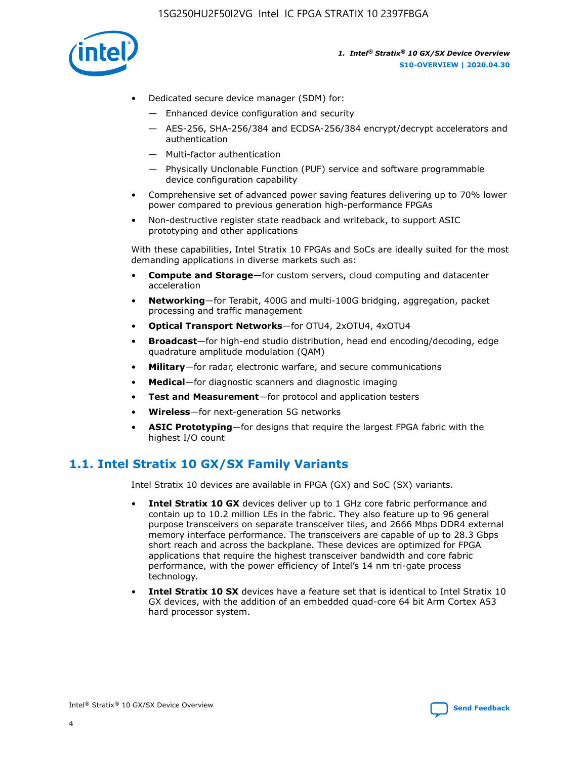

- Dedicated secure device manager (SDM) for:
	- Enhanced device configuration and security
	- AES-256, SHA-256/384 and ECDSA-256/384 encrypt/decrypt accelerators and authentication
	- Multi-factor authentication
	- Physically Unclonable Function (PUF) service and software programmable device configuration capability
- Comprehensive set of advanced power saving features delivering up to 70% lower power compared to previous generation high-performance FPGAs
- Non-destructive register state readback and writeback, to support ASIC prototyping and other applications

With these capabilities, Intel Stratix 10 FPGAs and SoCs are ideally suited for the most demanding applications in diverse markets such as:

- **Compute and Storage**—for custom servers, cloud computing and datacenter acceleration
- **Networking**—for Terabit, 400G and multi-100G bridging, aggregation, packet processing and traffic management
- **Optical Transport Networks**—for OTU4, 2xOTU4, 4xOTU4
- **Broadcast**—for high-end studio distribution, head end encoding/decoding, edge quadrature amplitude modulation (QAM)
- **Military**—for radar, electronic warfare, and secure communications
- **Medical**—for diagnostic scanners and diagnostic imaging
- **Test and Measurement**—for protocol and application testers
- **Wireless**—for next-generation 5G networks
- **ASIC Prototyping**—for designs that require the largest FPGA fabric with the highest I/O count

## **1.1. Intel Stratix 10 GX/SX Family Variants**

Intel Stratix 10 devices are available in FPGA (GX) and SoC (SX) variants.

- **Intel Stratix 10 GX** devices deliver up to 1 GHz core fabric performance and contain up to 10.2 million LEs in the fabric. They also feature up to 96 general purpose transceivers on separate transceiver tiles, and 2666 Mbps DDR4 external memory interface performance. The transceivers are capable of up to 28.3 Gbps short reach and across the backplane. These devices are optimized for FPGA applications that require the highest transceiver bandwidth and core fabric performance, with the power efficiency of Intel's 14 nm tri-gate process technology.
- **Intel Stratix 10 SX** devices have a feature set that is identical to Intel Stratix 10 GX devices, with the addition of an embedded quad-core 64 bit Arm Cortex A53 hard processor system.

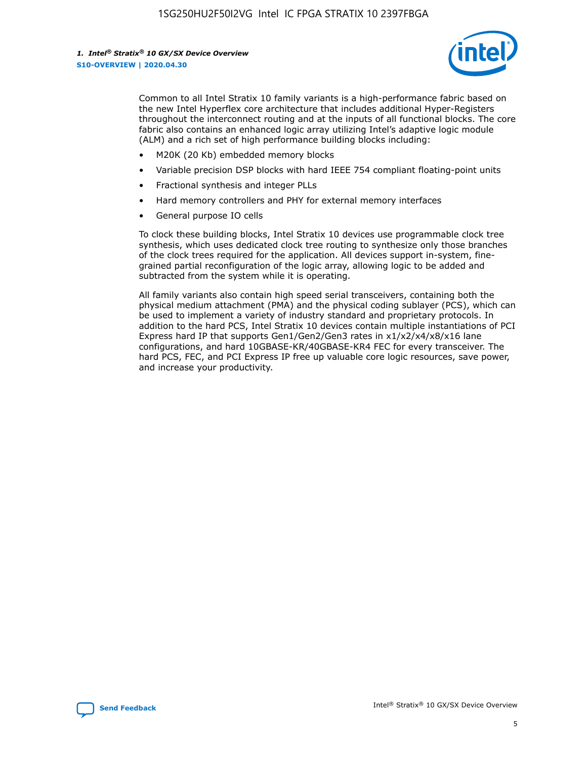

Common to all Intel Stratix 10 family variants is a high-performance fabric based on the new Intel Hyperflex core architecture that includes additional Hyper-Registers throughout the interconnect routing and at the inputs of all functional blocks. The core fabric also contains an enhanced logic array utilizing Intel's adaptive logic module (ALM) and a rich set of high performance building blocks including:

- M20K (20 Kb) embedded memory blocks
- Variable precision DSP blocks with hard IEEE 754 compliant floating-point units
- Fractional synthesis and integer PLLs
- Hard memory controllers and PHY for external memory interfaces
- General purpose IO cells

To clock these building blocks, Intel Stratix 10 devices use programmable clock tree synthesis, which uses dedicated clock tree routing to synthesize only those branches of the clock trees required for the application. All devices support in-system, finegrained partial reconfiguration of the logic array, allowing logic to be added and subtracted from the system while it is operating.

All family variants also contain high speed serial transceivers, containing both the physical medium attachment (PMA) and the physical coding sublayer (PCS), which can be used to implement a variety of industry standard and proprietary protocols. In addition to the hard PCS, Intel Stratix 10 devices contain multiple instantiations of PCI Express hard IP that supports Gen1/Gen2/Gen3 rates in x1/x2/x4/x8/x16 lane configurations, and hard 10GBASE-KR/40GBASE-KR4 FEC for every transceiver. The hard PCS, FEC, and PCI Express IP free up valuable core logic resources, save power, and increase your productivity.

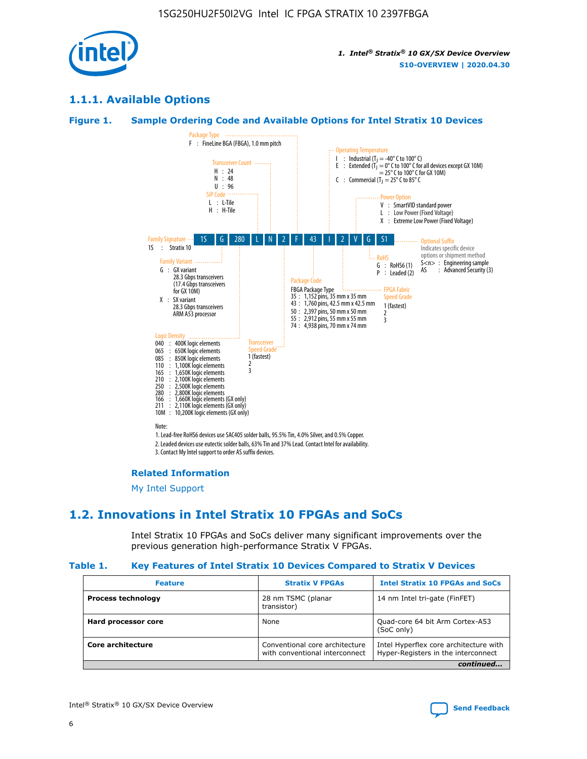

## **1.1.1. Available Options**

#### **Figure 1. Sample Ordering Code and Available Options for Intel Stratix 10 Devices**



## **Related Information**

[My Intel Support](https://www.intel.com/content/www/us/en/programmable/my-intel/mal-home.html)

## **1.2. Innovations in Intel Stratix 10 FPGAs and SoCs**

Intel Stratix 10 FPGAs and SoCs deliver many significant improvements over the previous generation high-performance Stratix V FPGAs.

#### **Table 1. Key Features of Intel Stratix 10 Devices Compared to Stratix V Devices**

| <b>Feature</b>            | <b>Stratix V FPGAs</b>                                           | <b>Intel Stratix 10 FPGAs and SoCs</b>                                        |
|---------------------------|------------------------------------------------------------------|-------------------------------------------------------------------------------|
| <b>Process technology</b> | 28 nm TSMC (planar<br>transistor)                                | 14 nm Intel tri-gate (FinFET)                                                 |
| Hard processor core       | None                                                             | Quad-core 64 bit Arm Cortex-A53<br>(SoC only)                                 |
| Core architecture         | Conventional core architecture<br>with conventional interconnect | Intel Hyperflex core architecture with<br>Hyper-Registers in the interconnect |
|                           |                                                                  | continued                                                                     |

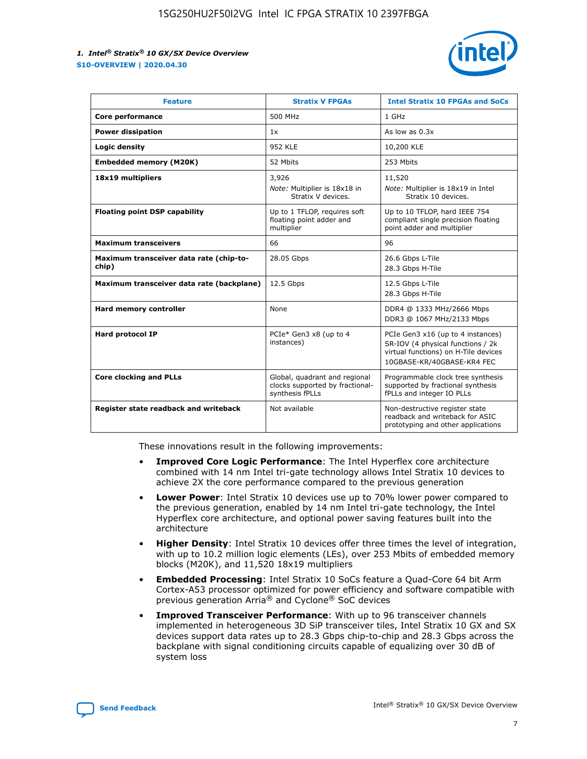

| <b>Feature</b>                                   | <b>Stratix V FPGAs</b>                                                              | <b>Intel Stratix 10 FPGAs and SoCs</b>                                                                                                       |
|--------------------------------------------------|-------------------------------------------------------------------------------------|----------------------------------------------------------------------------------------------------------------------------------------------|
| Core performance                                 | 500 MHz                                                                             | 1 GHz                                                                                                                                        |
| <b>Power dissipation</b>                         | 1x                                                                                  | As low as $0.3x$                                                                                                                             |
| Logic density                                    | 952 KLE                                                                             | 10,200 KLE                                                                                                                                   |
| <b>Embedded memory (M20K)</b>                    | 52 Mbits                                                                            | 253 Mbits                                                                                                                                    |
| 18x19 multipliers                                | 3,926                                                                               | 11,520                                                                                                                                       |
|                                                  | Note: Multiplier is 18x18 in<br>Stratix V devices.                                  | Note: Multiplier is 18x19 in Intel<br>Stratix 10 devices.                                                                                    |
| <b>Floating point DSP capability</b>             | Up to 1 TFLOP, requires soft<br>floating point adder and<br>multiplier              | Up to 10 TFLOP, hard IEEE 754<br>compliant single precision floating<br>point adder and multiplier                                           |
| <b>Maximum transceivers</b>                      | 66                                                                                  | 96                                                                                                                                           |
| Maximum transceiver data rate (chip-to-<br>chip) | 28.05 Gbps                                                                          | 26.6 Gbps L-Tile<br>28.3 Gbps H-Tile                                                                                                         |
| Maximum transceiver data rate (backplane)        | 12.5 Gbps                                                                           | 12.5 Gbps L-Tile<br>28.3 Gbps H-Tile                                                                                                         |
| <b>Hard memory controller</b>                    | None                                                                                | DDR4 @ 1333 MHz/2666 Mbps<br>DDR3 @ 1067 MHz/2133 Mbps                                                                                       |
| <b>Hard protocol IP</b>                          | PCIe* Gen3 x8 (up to 4<br>instances)                                                | PCIe Gen3 x16 (up to 4 instances)<br>SR-IOV (4 physical functions / 2k<br>virtual functions) on H-Tile devices<br>10GBASE-KR/40GBASE-KR4 FEC |
| <b>Core clocking and PLLs</b>                    | Global, quadrant and regional<br>clocks supported by fractional-<br>synthesis fPLLs | Programmable clock tree synthesis<br>supported by fractional synthesis<br>fPLLs and integer IO PLLs                                          |
| Register state readback and writeback            | Not available                                                                       | Non-destructive register state<br>readback and writeback for ASIC<br>prototyping and other applications                                      |

These innovations result in the following improvements:

- **Improved Core Logic Performance**: The Intel Hyperflex core architecture combined with 14 nm Intel tri-gate technology allows Intel Stratix 10 devices to achieve 2X the core performance compared to the previous generation
- **Lower Power**: Intel Stratix 10 devices use up to 70% lower power compared to the previous generation, enabled by 14 nm Intel tri-gate technology, the Intel Hyperflex core architecture, and optional power saving features built into the architecture
- **Higher Density**: Intel Stratix 10 devices offer three times the level of integration, with up to 10.2 million logic elements (LEs), over 253 Mbits of embedded memory blocks (M20K), and 11,520 18x19 multipliers
- **Embedded Processing**: Intel Stratix 10 SoCs feature a Quad-Core 64 bit Arm Cortex-A53 processor optimized for power efficiency and software compatible with previous generation Arria® and Cyclone® SoC devices
- **Improved Transceiver Performance**: With up to 96 transceiver channels implemented in heterogeneous 3D SiP transceiver tiles, Intel Stratix 10 GX and SX devices support data rates up to 28.3 Gbps chip-to-chip and 28.3 Gbps across the backplane with signal conditioning circuits capable of equalizing over 30 dB of system loss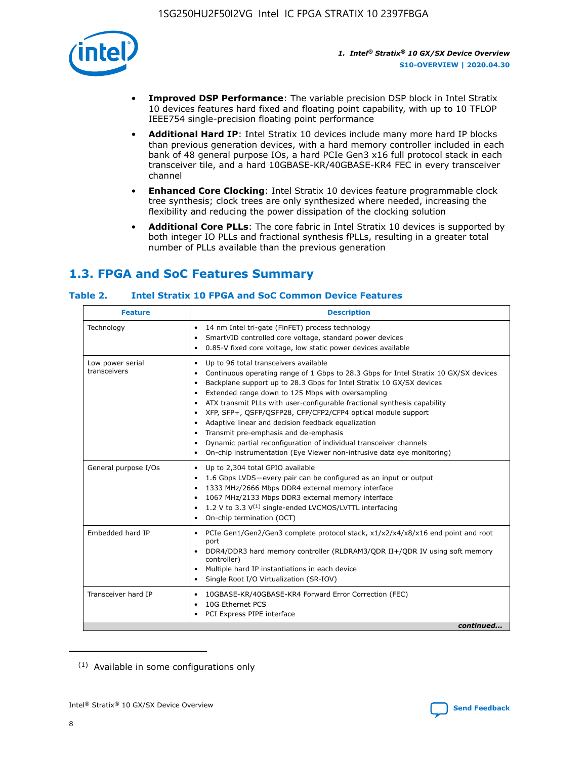

- **Improved DSP Performance**: The variable precision DSP block in Intel Stratix 10 devices features hard fixed and floating point capability, with up to 10 TFLOP IEEE754 single-precision floating point performance
- **Additional Hard IP**: Intel Stratix 10 devices include many more hard IP blocks than previous generation devices, with a hard memory controller included in each bank of 48 general purpose IOs, a hard PCIe Gen3 x16 full protocol stack in each transceiver tile, and a hard 10GBASE-KR/40GBASE-KR4 FEC in every transceiver channel
- **Enhanced Core Clocking**: Intel Stratix 10 devices feature programmable clock tree synthesis; clock trees are only synthesized where needed, increasing the flexibility and reducing the power dissipation of the clocking solution
- **Additional Core PLLs**: The core fabric in Intel Stratix 10 devices is supported by both integer IO PLLs and fractional synthesis fPLLs, resulting in a greater total number of PLLs available than the previous generation

## **1.3. FPGA and SoC Features Summary**

## **Table 2. Intel Stratix 10 FPGA and SoC Common Device Features**

| <b>Feature</b>                   | <b>Description</b>                                                                                                                                                                                                                                                                                                                                                                                                                                                                                                                                                                                                                                                                                                                                   |
|----------------------------------|------------------------------------------------------------------------------------------------------------------------------------------------------------------------------------------------------------------------------------------------------------------------------------------------------------------------------------------------------------------------------------------------------------------------------------------------------------------------------------------------------------------------------------------------------------------------------------------------------------------------------------------------------------------------------------------------------------------------------------------------------|
| Technology                       | 14 nm Intel tri-gate (FinFET) process technology<br>٠<br>SmartVID controlled core voltage, standard power devices<br>0.85-V fixed core voltage, low static power devices available                                                                                                                                                                                                                                                                                                                                                                                                                                                                                                                                                                   |
| Low power serial<br>transceivers | Up to 96 total transceivers available<br>$\bullet$<br>Continuous operating range of 1 Gbps to 28.3 Gbps for Intel Stratix 10 GX/SX devices<br>$\bullet$<br>Backplane support up to 28.3 Gbps for Intel Stratix 10 GX/SX devices<br>$\bullet$<br>Extended range down to 125 Mbps with oversampling<br>$\bullet$<br>ATX transmit PLLs with user-configurable fractional synthesis capability<br>$\bullet$<br>• XFP, SFP+, OSFP/OSFP28, CFP/CFP2/CFP4 optical module support<br>• Adaptive linear and decision feedback equalization<br>Transmit pre-emphasis and de-emphasis<br>Dynamic partial reconfiguration of individual transceiver channels<br>$\bullet$<br>On-chip instrumentation (Eye Viewer non-intrusive data eye monitoring)<br>$\bullet$ |
| General purpose I/Os             | Up to 2,304 total GPIO available<br>$\bullet$<br>1.6 Gbps LVDS-every pair can be configured as an input or output<br>$\bullet$<br>1333 MHz/2666 Mbps DDR4 external memory interface<br>1067 MHz/2133 Mbps DDR3 external memory interface<br>1.2 V to 3.3 $V^{(1)}$ single-ended LVCMOS/LVTTL interfacing<br>$\bullet$<br>On-chip termination (OCT)<br>$\bullet$                                                                                                                                                                                                                                                                                                                                                                                      |
| Embedded hard IP                 | • PCIe Gen1/Gen2/Gen3 complete protocol stack, $x1/x2/x4/x8/x16$ end point and root<br>port<br>DDR4/DDR3 hard memory controller (RLDRAM3/QDR II+/QDR IV using soft memory<br>controller)<br>Multiple hard IP instantiations in each device<br>$\bullet$<br>• Single Root I/O Virtualization (SR-IOV)                                                                                                                                                                                                                                                                                                                                                                                                                                                 |
| Transceiver hard IP              | 10GBASE-KR/40GBASE-KR4 Forward Error Correction (FEC)<br>$\bullet$<br>10G Ethernet PCS<br>$\bullet$<br>• PCI Express PIPE interface<br>continued                                                                                                                                                                                                                                                                                                                                                                                                                                                                                                                                                                                                     |

<sup>(1)</sup> Available in some configurations only

8

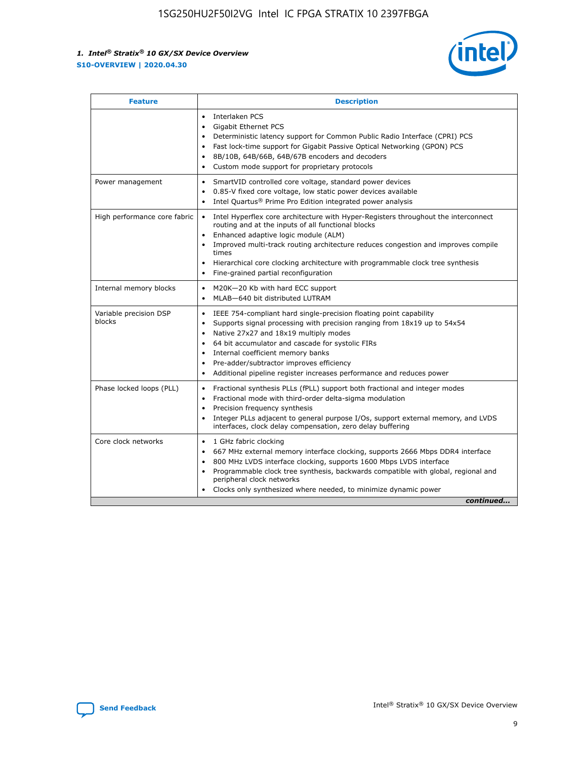

| <b>Feature</b>                   | <b>Description</b>                                                                                                                                                                                                                                                                                                                                                                                                                                                    |
|----------------------------------|-----------------------------------------------------------------------------------------------------------------------------------------------------------------------------------------------------------------------------------------------------------------------------------------------------------------------------------------------------------------------------------------------------------------------------------------------------------------------|
|                                  | Interlaken PCS<br>$\bullet$<br>Gigabit Ethernet PCS<br>$\bullet$<br>Deterministic latency support for Common Public Radio Interface (CPRI) PCS<br>$\bullet$<br>Fast lock-time support for Gigabit Passive Optical Networking (GPON) PCS<br>$\bullet$<br>8B/10B, 64B/66B, 64B/67B encoders and decoders<br>Custom mode support for proprietary protocols<br>$\bullet$                                                                                                  |
| Power management                 | SmartVID controlled core voltage, standard power devices<br>$\bullet$<br>0.85-V fixed core voltage, low static power devices available<br>$\bullet$<br>Intel Quartus <sup>®</sup> Prime Pro Edition integrated power analysis<br>$\bullet$                                                                                                                                                                                                                            |
| High performance core fabric     | Intel Hyperflex core architecture with Hyper-Registers throughout the interconnect<br>$\bullet$<br>routing and at the inputs of all functional blocks<br>Enhanced adaptive logic module (ALM)<br>Improved multi-track routing architecture reduces congestion and improves compile<br>times<br>Hierarchical core clocking architecture with programmable clock tree synthesis<br>$\bullet$<br>Fine-grained partial reconfiguration                                    |
| Internal memory blocks           | M20K-20 Kb with hard ECC support<br>$\bullet$<br>MLAB-640 bit distributed LUTRAM<br>$\bullet$                                                                                                                                                                                                                                                                                                                                                                         |
| Variable precision DSP<br>blocks | IEEE 754-compliant hard single-precision floating point capability<br>$\bullet$<br>Supports signal processing with precision ranging from 18x19 up to 54x54<br>$\bullet$<br>Native 27x27 and 18x19 multiply modes<br>$\bullet$<br>64 bit accumulator and cascade for systolic FIRs<br>Internal coefficient memory banks<br>Pre-adder/subtractor improves efficiency<br>$\bullet$<br>Additional pipeline register increases performance and reduces power<br>$\bullet$ |
| Phase locked loops (PLL)         | Fractional synthesis PLLs (fPLL) support both fractional and integer modes<br>$\bullet$<br>Fractional mode with third-order delta-sigma modulation<br>Precision frequency synthesis<br>$\bullet$<br>Integer PLLs adjacent to general purpose I/Os, support external memory, and LVDS<br>$\bullet$<br>interfaces, clock delay compensation, zero delay buffering                                                                                                       |
| Core clock networks              | 1 GHz fabric clocking<br>$\bullet$<br>667 MHz external memory interface clocking, supports 2666 Mbps DDR4 interface<br>800 MHz LVDS interface clocking, supports 1600 Mbps LVDS interface<br>$\bullet$<br>Programmable clock tree synthesis, backwards compatible with global, regional and<br>$\bullet$<br>peripheral clock networks<br>Clocks only synthesized where needed, to minimize dynamic power<br>continued                                                 |

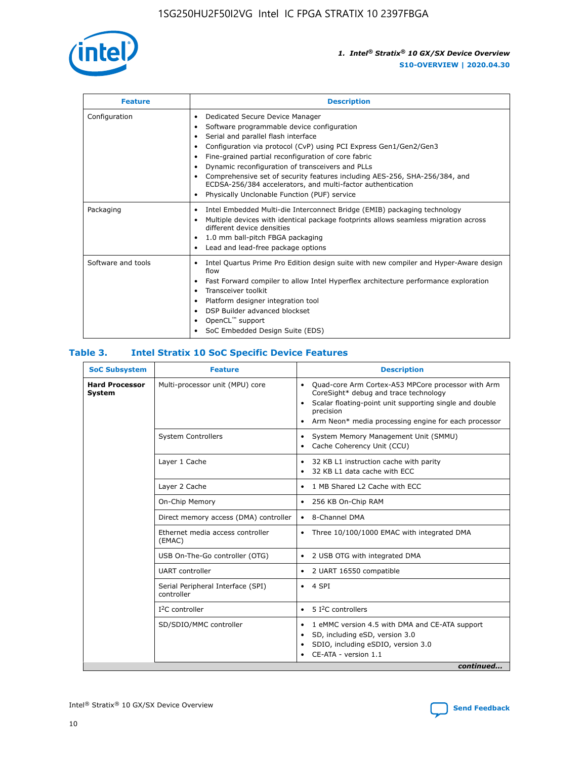

| <b>Feature</b>     | <b>Description</b>                                                                                                                                                                                                                                                                                                                                                                                                                                                                                               |
|--------------------|------------------------------------------------------------------------------------------------------------------------------------------------------------------------------------------------------------------------------------------------------------------------------------------------------------------------------------------------------------------------------------------------------------------------------------------------------------------------------------------------------------------|
| Configuration      | Dedicated Secure Device Manager<br>٠<br>Software programmable device configuration<br>Serial and parallel flash interface<br>Configuration via protocol (CvP) using PCI Express Gen1/Gen2/Gen3<br>Fine-grained partial reconfiguration of core fabric<br>٠<br>Dynamic reconfiguration of transceivers and PLLs<br>٠<br>Comprehensive set of security features including AES-256, SHA-256/384, and<br>ECDSA-256/384 accelerators, and multi-factor authentication<br>Physically Unclonable Function (PUF) service |
| Packaging          | Intel Embedded Multi-die Interconnect Bridge (EMIB) packaging technology<br>٠<br>Multiple devices with identical package footprints allows seamless migration across<br>$\bullet$<br>different device densities<br>1.0 mm ball-pitch FBGA packaging<br>٠<br>Lead and lead-free package options                                                                                                                                                                                                                   |
| Software and tools | Intel Quartus Prime Pro Edition design suite with new compiler and Hyper-Aware design<br>$\bullet$<br>flow<br>Fast Forward compiler to allow Intel Hyperflex architecture performance exploration<br>٠<br>Transceiver toolkit<br>Platform designer integration tool<br>DSP Builder advanced blockset<br>OpenCL <sup>™</sup> support<br>SoC Embedded Design Suite (EDS)                                                                                                                                           |

## **Table 3. Intel Stratix 10 SoC Specific Device Features**

| <b>SoC Subsystem</b>            | <b>Feature</b>                                  | <b>Description</b>                                                                                                                                                                                                                                                 |  |  |
|---------------------------------|-------------------------------------------------|--------------------------------------------------------------------------------------------------------------------------------------------------------------------------------------------------------------------------------------------------------------------|--|--|
| <b>Hard Processor</b><br>System | Multi-processor unit (MPU) core                 | Quad-core Arm Cortex-A53 MPCore processor with Arm<br>$\bullet$<br>CoreSight* debug and trace technology<br>Scalar floating-point unit supporting single and double<br>$\bullet$<br>precision<br>Arm Neon* media processing engine for each processor<br>$\bullet$ |  |  |
|                                 | <b>System Controllers</b>                       | System Memory Management Unit (SMMU)<br>$\bullet$<br>Cache Coherency Unit (CCU)<br>$\bullet$                                                                                                                                                                       |  |  |
|                                 | Layer 1 Cache                                   | 32 KB L1 instruction cache with parity<br>$\bullet$<br>32 KB L1 data cache with ECC<br>$\bullet$                                                                                                                                                                   |  |  |
|                                 | Layer 2 Cache                                   | 1 MB Shared L2 Cache with ECC<br>$\bullet$                                                                                                                                                                                                                         |  |  |
|                                 | On-Chip Memory                                  | 256 KB On-Chip RAM<br>٠                                                                                                                                                                                                                                            |  |  |
|                                 | Direct memory access (DMA) controller           | 8-Channel DMA<br>$\bullet$                                                                                                                                                                                                                                         |  |  |
|                                 | Ethernet media access controller<br>(EMAC)      | Three 10/100/1000 EMAC with integrated DMA<br>$\bullet$                                                                                                                                                                                                            |  |  |
|                                 | USB On-The-Go controller (OTG)                  | 2 USB OTG with integrated DMA<br>$\bullet$                                                                                                                                                                                                                         |  |  |
|                                 | <b>UART</b> controller                          | 2 UART 16550 compatible<br>$\bullet$                                                                                                                                                                                                                               |  |  |
|                                 | Serial Peripheral Interface (SPI)<br>controller | 4 SPI<br>$\bullet$                                                                                                                                                                                                                                                 |  |  |
|                                 | $I2C$ controller                                | 5 I <sup>2</sup> C controllers<br>$\bullet$                                                                                                                                                                                                                        |  |  |
|                                 | SD/SDIO/MMC controller                          | 1 eMMC version 4.5 with DMA and CE-ATA support<br>$\bullet$<br>SD, including eSD, version 3.0<br>$\bullet$<br>SDIO, including eSDIO, version 3.0<br>$\bullet$<br>CE-ATA - version 1.1                                                                              |  |  |
|                                 |                                                 | continued                                                                                                                                                                                                                                                          |  |  |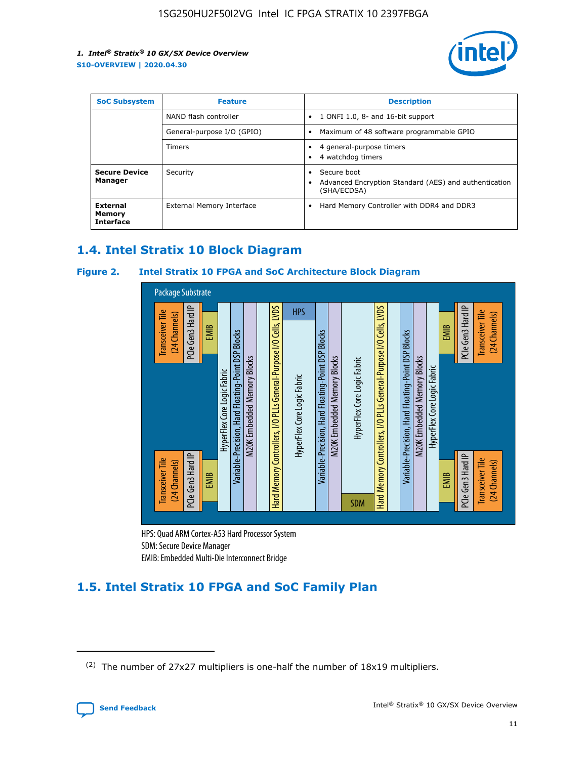

| <b>SoC Subsystem</b>                   | <b>Feature</b>             | <b>Description</b>                                                                                    |  |  |
|----------------------------------------|----------------------------|-------------------------------------------------------------------------------------------------------|--|--|
|                                        | NAND flash controller      | 1 ONFI 1.0, 8- and 16-bit support<br>$\bullet$                                                        |  |  |
|                                        | General-purpose I/O (GPIO) | Maximum of 48 software programmable GPIO<br>$\bullet$                                                 |  |  |
|                                        | Timers                     | 4 general-purpose timers<br>4 watchdog timers<br>٠                                                    |  |  |
| <b>Secure Device</b><br>Manager        | Security                   | Secure boot<br>$\bullet$<br>Advanced Encryption Standard (AES) and authentication<br>٠<br>(SHA/ECDSA) |  |  |
| External<br>Memory<br><b>Interface</b> | External Memory Interface  | Hard Memory Controller with DDR4 and DDR3<br>$\bullet$                                                |  |  |

## **1.4. Intel Stratix 10 Block Diagram**

## **Figure 2. Intel Stratix 10 FPGA and SoC Architecture Block Diagram**



HPS: Quad ARM Cortex-A53 Hard Processor System SDM: Secure Device Manager

## **1.5. Intel Stratix 10 FPGA and SoC Family Plan**

<sup>(2)</sup> The number of 27x27 multipliers is one-half the number of 18x19 multipliers.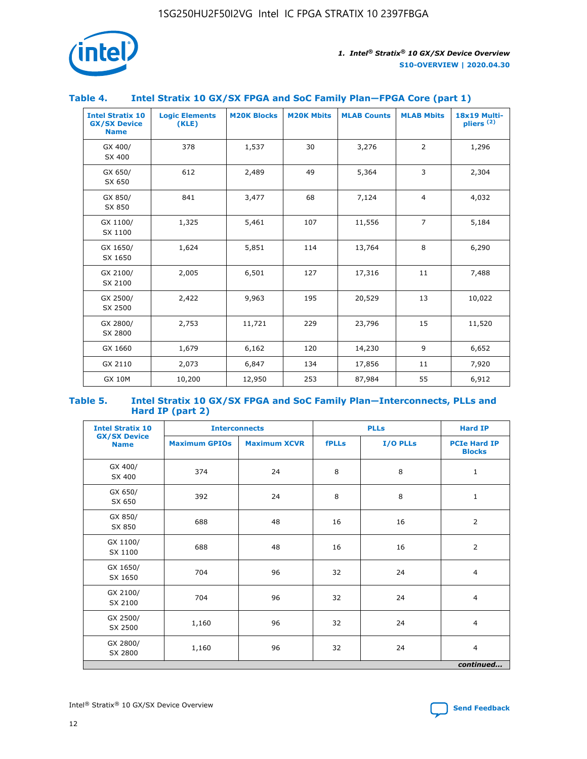

## **Table 4. Intel Stratix 10 GX/SX FPGA and SoC Family Plan—FPGA Core (part 1)**

| <b>Intel Stratix 10</b><br><b>GX/SX Device</b><br><b>Name</b> | <b>Logic Elements</b><br>(KLE) | <b>M20K Blocks</b> | <b>M20K Mbits</b> | <b>MLAB Counts</b> | <b>MLAB Mbits</b> | 18x19 Multi-<br>pliers <sup>(2)</sup> |
|---------------------------------------------------------------|--------------------------------|--------------------|-------------------|--------------------|-------------------|---------------------------------------|
| GX 400/<br>SX 400                                             | 378                            | 1,537              | 30                | 3,276              | $\overline{2}$    | 1,296                                 |
| GX 650/<br>SX 650                                             | 612                            | 2,489              | 49                | 5,364              | 3                 | 2,304                                 |
| GX 850/<br>SX 850                                             | 841                            | 3,477              | 68                | 7,124              | $\overline{4}$    | 4,032                                 |
| GX 1100/<br>SX 1100                                           | 1,325                          | 5,461              | 107               | 11,556             | $\overline{7}$    | 5,184                                 |
| GX 1650/<br>SX 1650                                           | 1,624                          | 5,851              | 114               | 13,764             | 8                 | 6,290                                 |
| GX 2100/<br>SX 2100                                           | 2,005                          | 6,501              | 127               | 17,316             | 11                | 7,488                                 |
| GX 2500/<br>SX 2500                                           | 2,422                          | 9,963              | 195               | 20,529             | 13                | 10,022                                |
| GX 2800/<br>SX 2800                                           | 2,753                          | 11,721             | 229               | 23,796             | 15                | 11,520                                |
| GX 1660                                                       | 1,679                          | 6,162              | 120               | 14,230             | 9                 | 6,652                                 |
| GX 2110                                                       | 2,073                          | 6,847              | 134               | 17,856             | 11                | 7,920                                 |
| <b>GX 10M</b>                                                 | 10,200                         | 12,950             | 253               | 87,984             | 55                | 6,912                                 |

#### **Table 5. Intel Stratix 10 GX/SX FPGA and SoC Family Plan—Interconnects, PLLs and Hard IP (part 2)**

| <b>Intel Stratix 10</b>            |                      | <b>PLLs</b><br><b>Interconnects</b> |              |          | <b>Hard IP</b>                       |  |
|------------------------------------|----------------------|-------------------------------------|--------------|----------|--------------------------------------|--|
| <b>GX/SX Device</b><br><b>Name</b> | <b>Maximum GPIOs</b> | <b>Maximum XCVR</b>                 | <b>fPLLs</b> | I/O PLLs | <b>PCIe Hard IP</b><br><b>Blocks</b> |  |
| GX 400/<br>SX 400                  | 374                  | 24                                  | 8            | 8        | $\mathbf{1}$                         |  |
| GX 650/<br>SX 650                  | 392                  | 24                                  | 8            | 8        | $\mathbf{1}$                         |  |
| GX 850/<br>SX 850                  | 688                  | 48                                  | 16           | 16       | 2                                    |  |
| GX 1100/<br>SX 1100                | 688                  | 48                                  | 16           | 16       | 2                                    |  |
| GX 1650/<br>SX 1650                | 704                  | 96                                  | 32           | 24       | $\overline{4}$                       |  |
| GX 2100/<br>SX 2100                | 704                  | 96                                  | 32           | 24       | 4                                    |  |
| GX 2500/<br>SX 2500                | 1,160                | 96                                  | 32           | 24       | $\overline{4}$                       |  |
| GX 2800/<br>SX 2800                | 1,160                | 96                                  | 32           | 24       | $\overline{4}$                       |  |
| continued                          |                      |                                     |              |          |                                      |  |

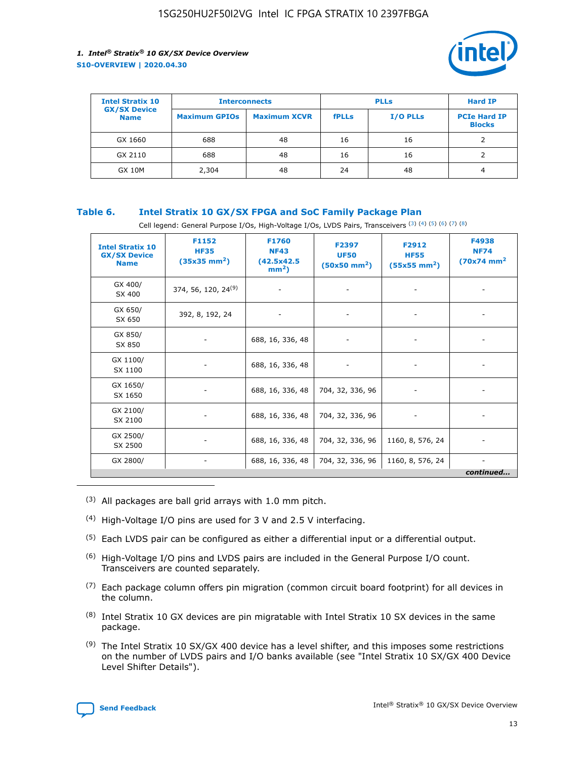

| <b>Intel Stratix 10</b>            | <b>Interconnects</b> |                     | <b>PLLs</b>  |                 | <b>Hard IP</b>                       |
|------------------------------------|----------------------|---------------------|--------------|-----------------|--------------------------------------|
| <b>GX/SX Device</b><br><b>Name</b> | <b>Maximum GPIOs</b> | <b>Maximum XCVR</b> | <b>fPLLs</b> | <b>I/O PLLs</b> | <b>PCIe Hard IP</b><br><b>Blocks</b> |
| GX 1660                            | 688                  | 48                  | 16           | 16              |                                      |
| GX 2110                            | 688                  | 48                  | 16           | 16              |                                      |
| <b>GX 10M</b>                      | 2,304                | 48                  | 24           | 48              | 4                                    |

## **Table 6. Intel Stratix 10 GX/SX FPGA and SoC Family Package Plan**

Cell legend: General Purpose I/Os, High-Voltage I/Os, LVDS Pairs, Transceivers (3) (4) (5) (6) (7) (8)

| <b>Intel Stratix 10</b><br><b>GX/SX Device</b><br><b>Name</b> | F1152<br><b>HF35</b><br>$(35x35 \text{ mm}^2)$ | <b>F1760</b><br><b>NF43</b><br>(42.5x42.5<br>$mm2$ ) | F2397<br><b>UF50</b><br>$(50x50 \text{ mm}^2)$ | F2912<br><b>HF55</b><br>$(55x55 \text{ mm}^2)$ | F4938<br><b>NF74</b><br>$(70x74)$ mm <sup>2</sup> |
|---------------------------------------------------------------|------------------------------------------------|------------------------------------------------------|------------------------------------------------|------------------------------------------------|---------------------------------------------------|
| GX 400/<br>SX 400                                             | 374, 56, 120, 24 <sup>(9)</sup>                | $\overline{\phantom{a}}$                             | $\overline{\phantom{a}}$                       |                                                |                                                   |
| GX 650/<br>SX 650                                             | 392, 8, 192, 24                                | ٠                                                    | $\overline{\phantom{a}}$                       |                                                |                                                   |
| GX 850/<br>SX 850                                             |                                                | 688, 16, 336, 48                                     |                                                |                                                |                                                   |
| GX 1100/<br>SX 1100                                           |                                                | 688, 16, 336, 48                                     |                                                |                                                |                                                   |
| GX 1650/<br>SX 1650                                           |                                                | 688, 16, 336, 48                                     | 704, 32, 336, 96                               |                                                |                                                   |
| GX 2100/<br>SX 2100                                           |                                                | 688, 16, 336, 48                                     | 704, 32, 336, 96                               | -                                              | ۰                                                 |
| GX 2500/<br>SX 2500                                           |                                                | 688, 16, 336, 48                                     | 704, 32, 336, 96                               | 1160, 8, 576, 24                               |                                                   |
| GX 2800/                                                      | $\overline{\phantom{a}}$                       | 688, 16, 336, 48                                     | 704, 32, 336, 96                               | 1160, 8, 576, 24                               | ٠<br>continued                                    |

- (3) All packages are ball grid arrays with 1.0 mm pitch.
- (4) High-Voltage I/O pins are used for 3 V and 2.5 V interfacing.
- $(5)$  Each LVDS pair can be configured as either a differential input or a differential output.
- (6) High-Voltage I/O pins and LVDS pairs are included in the General Purpose I/O count. Transceivers are counted separately.
- $(7)$  Each package column offers pin migration (common circuit board footprint) for all devices in the column.
- $(8)$  Intel Stratix 10 GX devices are pin migratable with Intel Stratix 10 SX devices in the same package.
- $(9)$  The Intel Stratix 10 SX/GX 400 device has a level shifter, and this imposes some restrictions on the number of LVDS pairs and I/O banks available (see "Intel Stratix 10 SX/GX 400 Device Level Shifter Details").

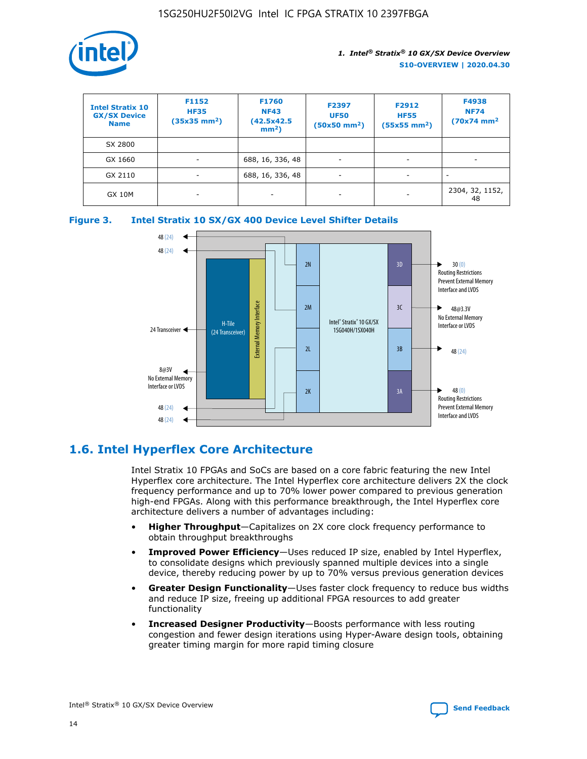

| <b>Intel Stratix 10</b><br><b>GX/SX Device</b><br><b>Name</b> | F1152<br><b>HF35</b><br>$(35x35)$ mm <sup>2</sup> ) | F1760<br><b>NF43</b><br>(42.5x42.5<br>$mm2$ ) | F2397<br><b>UF50</b><br>$(50x50 \text{ mm}^2)$ | F2912<br><b>HF55</b><br>$(55x55$ mm <sup>2</sup> ) | F4938<br><b>NF74</b><br>$(70x74)$ mm <sup>2</sup> |
|---------------------------------------------------------------|-----------------------------------------------------|-----------------------------------------------|------------------------------------------------|----------------------------------------------------|---------------------------------------------------|
| SX 2800                                                       |                                                     |                                               |                                                |                                                    |                                                   |
| GX 1660                                                       | -                                                   | 688, 16, 336, 48                              | $\overline{\phantom{a}}$                       |                                                    |                                                   |
| GX 2110                                                       |                                                     | 688, 16, 336, 48                              | $\overline{\phantom{a}}$                       |                                                    |                                                   |
| <b>GX 10M</b>                                                 | ۰                                                   |                                               |                                                |                                                    | 2304, 32, 1152,<br>48                             |





## **1.6. Intel Hyperflex Core Architecture**

Intel Stratix 10 FPGAs and SoCs are based on a core fabric featuring the new Intel Hyperflex core architecture. The Intel Hyperflex core architecture delivers 2X the clock frequency performance and up to 70% lower power compared to previous generation high-end FPGAs. Along with this performance breakthrough, the Intel Hyperflex core architecture delivers a number of advantages including:

- **Higher Throughput**—Capitalizes on 2X core clock frequency performance to obtain throughput breakthroughs
- **Improved Power Efficiency**—Uses reduced IP size, enabled by Intel Hyperflex, to consolidate designs which previously spanned multiple devices into a single device, thereby reducing power by up to 70% versus previous generation devices
- **Greater Design Functionality**—Uses faster clock frequency to reduce bus widths and reduce IP size, freeing up additional FPGA resources to add greater functionality
- **Increased Designer Productivity**—Boosts performance with less routing congestion and fewer design iterations using Hyper-Aware design tools, obtaining greater timing margin for more rapid timing closure

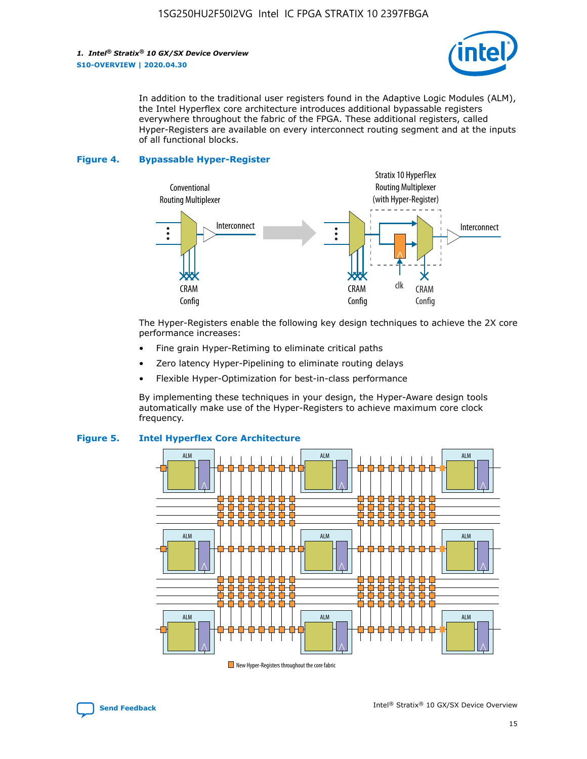

In addition to the traditional user registers found in the Adaptive Logic Modules (ALM), the Intel Hyperflex core architecture introduces additional bypassable registers everywhere throughout the fabric of the FPGA. These additional registers, called Hyper-Registers are available on every interconnect routing segment and at the inputs of all functional blocks.

#### **Figure 4. Bypassable Hyper-Register**



The Hyper-Registers enable the following key design techniques to achieve the 2X core performance increases:

- Fine grain Hyper-Retiming to eliminate critical paths
- Zero latency Hyper-Pipelining to eliminate routing delays
- Flexible Hyper-Optimization for best-in-class performance

By implementing these techniques in your design, the Hyper-Aware design tools automatically make use of the Hyper-Registers to achieve maximum core clock frequency.



## **Figure 5. Intel Hyperflex Core Architecture**

New Hyper-Registers throughout the core fabric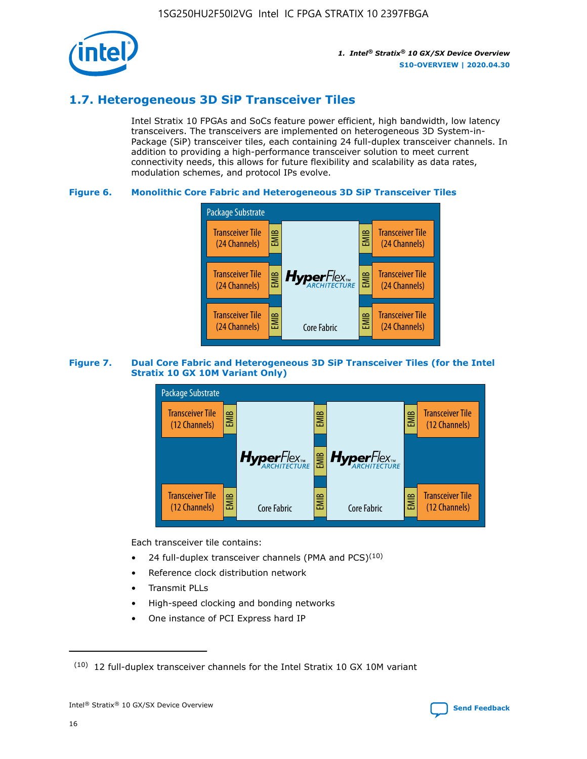

## **1.7. Heterogeneous 3D SiP Transceiver Tiles**

Intel Stratix 10 FPGAs and SoCs feature power efficient, high bandwidth, low latency transceivers. The transceivers are implemented on heterogeneous 3D System-in-Package (SiP) transceiver tiles, each containing 24 full-duplex transceiver channels. In addition to providing a high-performance transceiver solution to meet current connectivity needs, this allows for future flexibility and scalability as data rates, modulation schemes, and protocol IPs evolve.

## **Figure 6. Monolithic Core Fabric and Heterogeneous 3D SiP Transceiver Tiles**



## **Figure 7. Dual Core Fabric and Heterogeneous 3D SiP Transceiver Tiles (for the Intel Stratix 10 GX 10M Variant Only)**



Each transceiver tile contains:

- 24 full-duplex transceiver channels (PMA and PCS) $(10)$
- Reference clock distribution network
- Transmit PLLs
- High-speed clocking and bonding networks
- One instance of PCI Express hard IP

16

 $(10)$  12 full-duplex transceiver channels for the Intel Stratix 10 GX 10M variant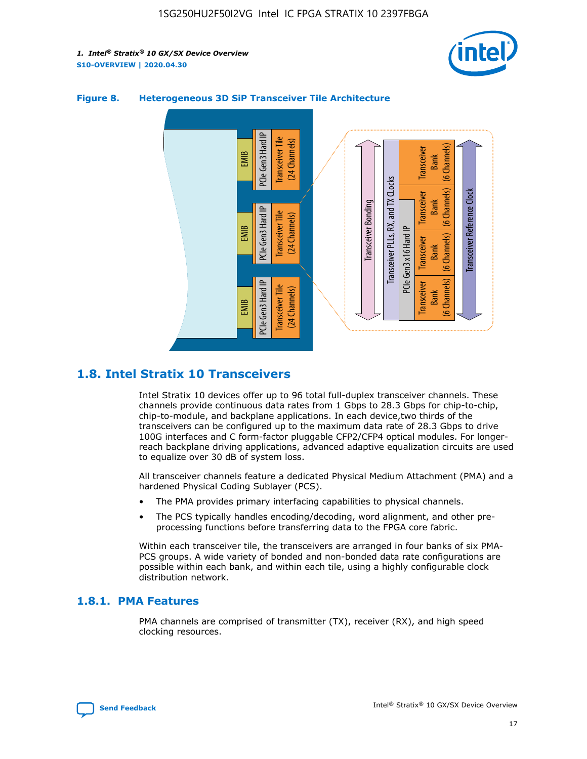



## **Figure 8. Heterogeneous 3D SiP Transceiver Tile Architecture**

## **1.8. Intel Stratix 10 Transceivers**

Intel Stratix 10 devices offer up to 96 total full-duplex transceiver channels. These channels provide continuous data rates from 1 Gbps to 28.3 Gbps for chip-to-chip, chip-to-module, and backplane applications. In each device,two thirds of the transceivers can be configured up to the maximum data rate of 28.3 Gbps to drive 100G interfaces and C form-factor pluggable CFP2/CFP4 optical modules. For longerreach backplane driving applications, advanced adaptive equalization circuits are used to equalize over 30 dB of system loss.

All transceiver channels feature a dedicated Physical Medium Attachment (PMA) and a hardened Physical Coding Sublayer (PCS).

- The PMA provides primary interfacing capabilities to physical channels.
- The PCS typically handles encoding/decoding, word alignment, and other preprocessing functions before transferring data to the FPGA core fabric.

Within each transceiver tile, the transceivers are arranged in four banks of six PMA-PCS groups. A wide variety of bonded and non-bonded data rate configurations are possible within each bank, and within each tile, using a highly configurable clock distribution network.

## **1.8.1. PMA Features**

PMA channels are comprised of transmitter (TX), receiver (RX), and high speed clocking resources.

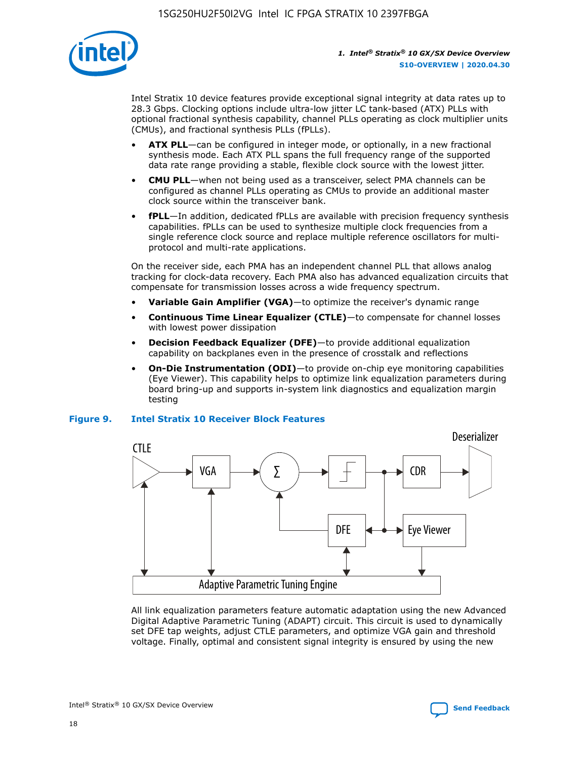

Intel Stratix 10 device features provide exceptional signal integrity at data rates up to 28.3 Gbps. Clocking options include ultra-low jitter LC tank-based (ATX) PLLs with optional fractional synthesis capability, channel PLLs operating as clock multiplier units (CMUs), and fractional synthesis PLLs (fPLLs).

- **ATX PLL**—can be configured in integer mode, or optionally, in a new fractional synthesis mode. Each ATX PLL spans the full frequency range of the supported data rate range providing a stable, flexible clock source with the lowest jitter.
- **CMU PLL**—when not being used as a transceiver, select PMA channels can be configured as channel PLLs operating as CMUs to provide an additional master clock source within the transceiver bank.
- **fPLL**—In addition, dedicated fPLLs are available with precision frequency synthesis capabilities. fPLLs can be used to synthesize multiple clock frequencies from a single reference clock source and replace multiple reference oscillators for multiprotocol and multi-rate applications.

On the receiver side, each PMA has an independent channel PLL that allows analog tracking for clock-data recovery. Each PMA also has advanced equalization circuits that compensate for transmission losses across a wide frequency spectrum.

- **Variable Gain Amplifier (VGA)**—to optimize the receiver's dynamic range
- **Continuous Time Linear Equalizer (CTLE)**—to compensate for channel losses with lowest power dissipation
- **Decision Feedback Equalizer (DFE)**—to provide additional equalization capability on backplanes even in the presence of crosstalk and reflections
- **On-Die Instrumentation (ODI)**—to provide on-chip eye monitoring capabilities (Eye Viewer). This capability helps to optimize link equalization parameters during board bring-up and supports in-system link diagnostics and equalization margin testing

## **Figure 9. Intel Stratix 10 Receiver Block Features**



All link equalization parameters feature automatic adaptation using the new Advanced Digital Adaptive Parametric Tuning (ADAPT) circuit. This circuit is used to dynamically set DFE tap weights, adjust CTLE parameters, and optimize VGA gain and threshold voltage. Finally, optimal and consistent signal integrity is ensured by using the new



Intel<sup>®</sup> Stratix<sup>®</sup> 10 GX/SX Device Overview **[Send Feedback](mailto:FPGAtechdocfeedback@intel.com?subject=Feedback%20on%20Intel%20Stratix%2010%20GX/SX%20Device%20Overview%20(S10-OVERVIEW%202020.04.30)&body=We%20appreciate%20your%20feedback.%20In%20your%20comments,%20also%20specify%20the%20page%20number%20or%20paragraph.%20Thank%20you.)** Send Feedback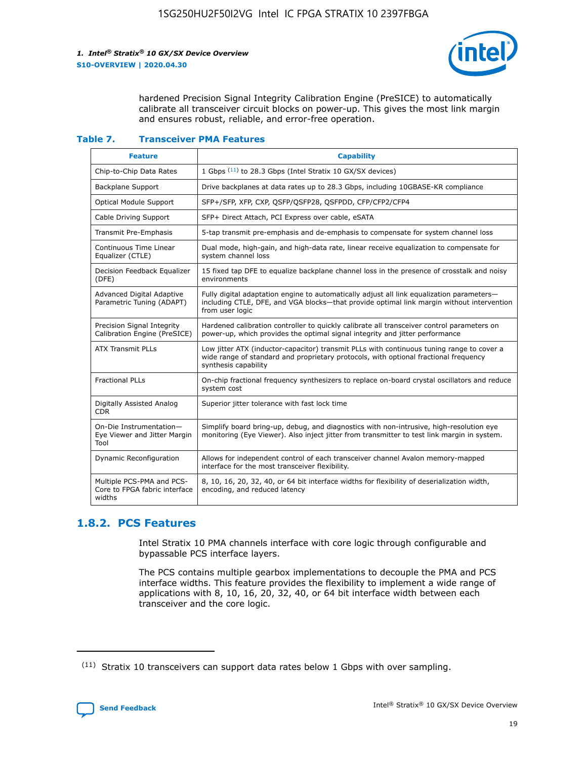

hardened Precision Signal Integrity Calibration Engine (PreSICE) to automatically calibrate all transceiver circuit blocks on power-up. This gives the most link margin and ensures robust, reliable, and error-free operation.

#### **Table 7. Transceiver PMA Features**

| <b>Feature</b>                                                       | <b>Capability</b>                                                                                                                                                                                         |
|----------------------------------------------------------------------|-----------------------------------------------------------------------------------------------------------------------------------------------------------------------------------------------------------|
| Chip-to-Chip Data Rates                                              | 1 Gbps (11) to 28.3 Gbps (Intel Stratix 10 GX/SX devices)                                                                                                                                                 |
| <b>Backplane Support</b>                                             | Drive backplanes at data rates up to 28.3 Gbps, including 10GBASE-KR compliance                                                                                                                           |
| Optical Module Support                                               | SFP+/SFP, XFP, CXP, QSFP/QSFP28, QSFPDD, CFP/CFP2/CFP4                                                                                                                                                    |
| Cable Driving Support                                                | SFP+ Direct Attach, PCI Express over cable, eSATA                                                                                                                                                         |
| <b>Transmit Pre-Emphasis</b>                                         | 5-tap transmit pre-emphasis and de-emphasis to compensate for system channel loss                                                                                                                         |
| Continuous Time Linear<br>Equalizer (CTLE)                           | Dual mode, high-gain, and high-data rate, linear receive equalization to compensate for<br>system channel loss                                                                                            |
| Decision Feedback Equalizer<br>(DFE)                                 | 15 fixed tap DFE to equalize backplane channel loss in the presence of crosstalk and noisy<br>environments                                                                                                |
| Advanced Digital Adaptive<br>Parametric Tuning (ADAPT)               | Fully digital adaptation engine to automatically adjust all link equalization parameters-<br>including CTLE, DFE, and VGA blocks—that provide optimal link margin without intervention<br>from user logic |
| Precision Signal Integrity<br>Calibration Engine (PreSICE)           | Hardened calibration controller to quickly calibrate all transceiver control parameters on<br>power-up, which provides the optimal signal integrity and jitter performance                                |
| <b>ATX Transmit PLLs</b>                                             | Low jitter ATX (inductor-capacitor) transmit PLLs with continuous tuning range to cover a<br>wide range of standard and proprietary protocols, with optional fractional frequency<br>synthesis capability |
| <b>Fractional PLLs</b>                                               | On-chip fractional frequency synthesizers to replace on-board crystal oscillators and reduce<br>system cost                                                                                               |
| Digitally Assisted Analog<br>CDR.                                    | Superior jitter tolerance with fast lock time                                                                                                                                                             |
| On-Die Instrumentation-<br>Eye Viewer and Jitter Margin<br>Tool      | Simplify board bring-up, debug, and diagnostics with non-intrusive, high-resolution eye<br>monitoring (Eye Viewer). Also inject jitter from transmitter to test link margin in system.                    |
| Dynamic Reconfiguration                                              | Allows for independent control of each transceiver channel Avalon memory-mapped<br>interface for the most transceiver flexibility.                                                                        |
| Multiple PCS-PMA and PCS-<br>Core to FPGA fabric interface<br>widths | 8, 10, 16, 20, 32, 40, or 64 bit interface widths for flexibility of deserialization width,<br>encoding, and reduced latency                                                                              |

## **1.8.2. PCS Features**

Intel Stratix 10 PMA channels interface with core logic through configurable and bypassable PCS interface layers.

The PCS contains multiple gearbox implementations to decouple the PMA and PCS interface widths. This feature provides the flexibility to implement a wide range of applications with 8, 10, 16, 20, 32, 40, or 64 bit interface width between each transceiver and the core logic.

 $(11)$  Stratix 10 transceivers can support data rates below 1 Gbps with over sampling.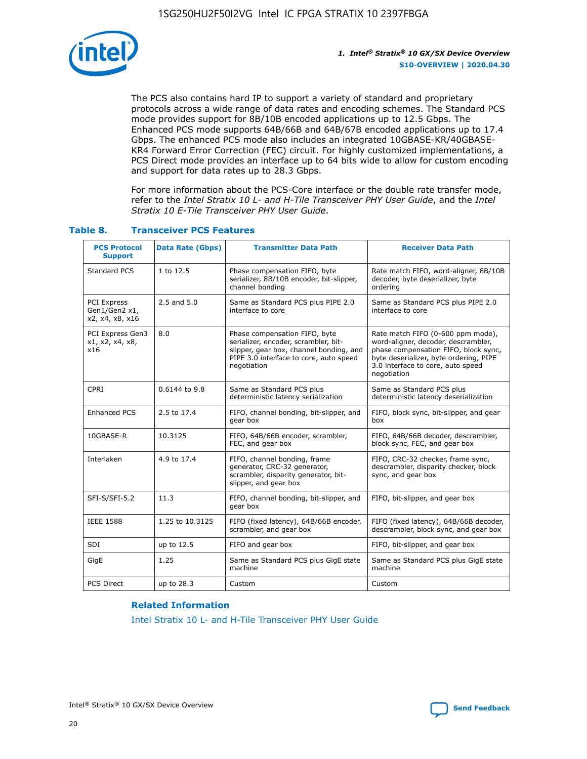

The PCS also contains hard IP to support a variety of standard and proprietary protocols across a wide range of data rates and encoding schemes. The Standard PCS mode provides support for 8B/10B encoded applications up to 12.5 Gbps. The Enhanced PCS mode supports 64B/66B and 64B/67B encoded applications up to 17.4 Gbps. The enhanced PCS mode also includes an integrated 10GBASE-KR/40GBASE-KR4 Forward Error Correction (FEC) circuit. For highly customized implementations, a PCS Direct mode provides an interface up to 64 bits wide to allow for custom encoding and support for data rates up to 28.3 Gbps.

For more information about the PCS-Core interface or the double rate transfer mode, refer to the *Intel Stratix 10 L- and H-Tile Transceiver PHY User Guide*, and the *Intel Stratix 10 E-Tile Transceiver PHY User Guide*.

| <b>PCS Protocol</b><br><b>Support</b>           | <b>Data Rate (Gbps)</b> | <b>Transmitter Data Path</b>                                                                                                                                              | <b>Receiver Data Path</b>                                                                                                                                                                                      |
|-------------------------------------------------|-------------------------|---------------------------------------------------------------------------------------------------------------------------------------------------------------------------|----------------------------------------------------------------------------------------------------------------------------------------------------------------------------------------------------------------|
| Standard PCS                                    | 1 to 12.5               | Phase compensation FIFO, byte<br>serializer, 8B/10B encoder, bit-slipper,<br>channel bonding                                                                              | Rate match FIFO, word-aligner, 8B/10B<br>decoder, byte deserializer, byte<br>ordering                                                                                                                          |
| PCI Express<br>Gen1/Gen2 x1,<br>x2, x4, x8, x16 | $2.5$ and $5.0$         | Same as Standard PCS plus PIPE 2.0<br>interface to core                                                                                                                   | Same as Standard PCS plus PIPE 2.0<br>interface to core                                                                                                                                                        |
| PCI Express Gen3<br>x1, x2, x4, x8,<br>x16      | 8.0                     | Phase compensation FIFO, byte<br>serializer, encoder, scrambler, bit-<br>slipper, gear box, channel bonding, and<br>PIPE 3.0 interface to core, auto speed<br>negotiation | Rate match FIFO (0-600 ppm mode),<br>word-aligner, decoder, descrambler,<br>phase compensation FIFO, block sync,<br>byte deserializer, byte ordering, PIPE<br>3.0 interface to core, auto speed<br>negotiation |
| CPRI                                            | 0.6144 to 9.8           | Same as Standard PCS plus<br>deterministic latency serialization                                                                                                          | Same as Standard PCS plus<br>deterministic latency deserialization                                                                                                                                             |
| <b>Enhanced PCS</b>                             | 2.5 to 17.4             | FIFO, channel bonding, bit-slipper, and<br>gear box                                                                                                                       | FIFO, block sync, bit-slipper, and gear<br>box                                                                                                                                                                 |
| 10GBASE-R                                       | 10.3125                 | FIFO, 64B/66B encoder, scrambler,<br>FEC, and gear box                                                                                                                    | FIFO, 64B/66B decoder, descrambler,<br>block sync, FEC, and gear box                                                                                                                                           |
| Interlaken                                      | 4.9 to 17.4             | FIFO, channel bonding, frame<br>generator, CRC-32 generator,<br>scrambler, disparity generator, bit-<br>slipper, and gear box                                             | FIFO, CRC-32 checker, frame sync,<br>descrambler, disparity checker, block<br>sync, and gear box                                                                                                               |
| SFI-S/SFI-5.2                                   | 11.3                    | FIFO, channel bonding, bit-slipper, and<br>gear box                                                                                                                       | FIFO, bit-slipper, and gear box                                                                                                                                                                                |
| <b>IEEE 1588</b>                                | 1.25 to 10.3125         | FIFO (fixed latency), 64B/66B encoder,<br>scrambler, and gear box                                                                                                         | FIFO (fixed latency), 64B/66B decoder,<br>descrambler, block sync, and gear box                                                                                                                                |
| SDI                                             | up to 12.5              | FIFO and gear box                                                                                                                                                         | FIFO, bit-slipper, and gear box                                                                                                                                                                                |
| GigE                                            | 1.25                    | Same as Standard PCS plus GigE state<br>machine                                                                                                                           | Same as Standard PCS plus GigE state<br>machine                                                                                                                                                                |
| <b>PCS Direct</b>                               | up to 28.3              | Custom                                                                                                                                                                    | Custom                                                                                                                                                                                                         |

## **Table 8. Transceiver PCS Features**

#### **Related Information**

[Intel Stratix 10 L- and H-Tile Transceiver PHY User Guide](https://www.altera.com/documentation/wry1479165198810.html)

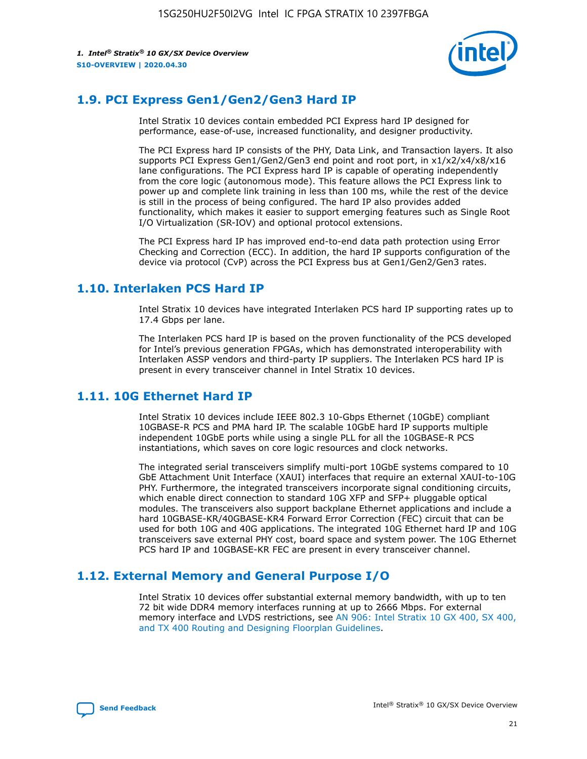

## **1.9. PCI Express Gen1/Gen2/Gen3 Hard IP**

Intel Stratix 10 devices contain embedded PCI Express hard IP designed for performance, ease-of-use, increased functionality, and designer productivity.

The PCI Express hard IP consists of the PHY, Data Link, and Transaction layers. It also supports PCI Express Gen1/Gen2/Gen3 end point and root port, in x1/x2/x4/x8/x16 lane configurations. The PCI Express hard IP is capable of operating independently from the core logic (autonomous mode). This feature allows the PCI Express link to power up and complete link training in less than 100 ms, while the rest of the device is still in the process of being configured. The hard IP also provides added functionality, which makes it easier to support emerging features such as Single Root I/O Virtualization (SR-IOV) and optional protocol extensions.

The PCI Express hard IP has improved end-to-end data path protection using Error Checking and Correction (ECC). In addition, the hard IP supports configuration of the device via protocol (CvP) across the PCI Express bus at Gen1/Gen2/Gen3 rates.

## **1.10. Interlaken PCS Hard IP**

Intel Stratix 10 devices have integrated Interlaken PCS hard IP supporting rates up to 17.4 Gbps per lane.

The Interlaken PCS hard IP is based on the proven functionality of the PCS developed for Intel's previous generation FPGAs, which has demonstrated interoperability with Interlaken ASSP vendors and third-party IP suppliers. The Interlaken PCS hard IP is present in every transceiver channel in Intel Stratix 10 devices.

## **1.11. 10G Ethernet Hard IP**

Intel Stratix 10 devices include IEEE 802.3 10-Gbps Ethernet (10GbE) compliant 10GBASE-R PCS and PMA hard IP. The scalable 10GbE hard IP supports multiple independent 10GbE ports while using a single PLL for all the 10GBASE-R PCS instantiations, which saves on core logic resources and clock networks.

The integrated serial transceivers simplify multi-port 10GbE systems compared to 10 GbE Attachment Unit Interface (XAUI) interfaces that require an external XAUI-to-10G PHY. Furthermore, the integrated transceivers incorporate signal conditioning circuits, which enable direct connection to standard 10G XFP and SFP+ pluggable optical modules. The transceivers also support backplane Ethernet applications and include a hard 10GBASE-KR/40GBASE-KR4 Forward Error Correction (FEC) circuit that can be used for both 10G and 40G applications. The integrated 10G Ethernet hard IP and 10G transceivers save external PHY cost, board space and system power. The 10G Ethernet PCS hard IP and 10GBASE-KR FEC are present in every transceiver channel.

## **1.12. External Memory and General Purpose I/O**

Intel Stratix 10 devices offer substantial external memory bandwidth, with up to ten 72 bit wide DDR4 memory interfaces running at up to 2666 Mbps. For external memory interface and LVDS restrictions, see [AN 906: Intel Stratix 10 GX 400, SX 400,](https://www.intel.com/content/www/us/en/programmable/documentation/sjf1574667190623.html#bft1574667627484) [and TX 400 Routing and Designing Floorplan Guidelines.](https://www.intel.com/content/www/us/en/programmable/documentation/sjf1574667190623.html#bft1574667627484)

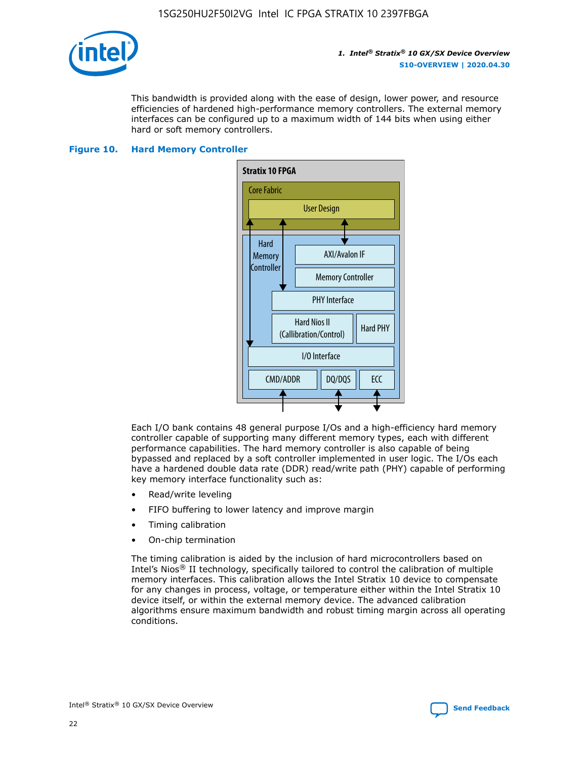

This bandwidth is provided along with the ease of design, lower power, and resource efficiencies of hardened high-performance memory controllers. The external memory interfaces can be configured up to a maximum width of 144 bits when using either hard or soft memory controllers.

#### **Figure 10. Hard Memory Controller**



Each I/O bank contains 48 general purpose I/Os and a high-efficiency hard memory controller capable of supporting many different memory types, each with different performance capabilities. The hard memory controller is also capable of being bypassed and replaced by a soft controller implemented in user logic. The I/Os each have a hardened double data rate (DDR) read/write path (PHY) capable of performing key memory interface functionality such as:

- Read/write leveling
- FIFO buffering to lower latency and improve margin
- Timing calibration
- On-chip termination

The timing calibration is aided by the inclusion of hard microcontrollers based on Intel's Nios® II technology, specifically tailored to control the calibration of multiple memory interfaces. This calibration allows the Intel Stratix 10 device to compensate for any changes in process, voltage, or temperature either within the Intel Stratix 10 device itself, or within the external memory device. The advanced calibration algorithms ensure maximum bandwidth and robust timing margin across all operating conditions.

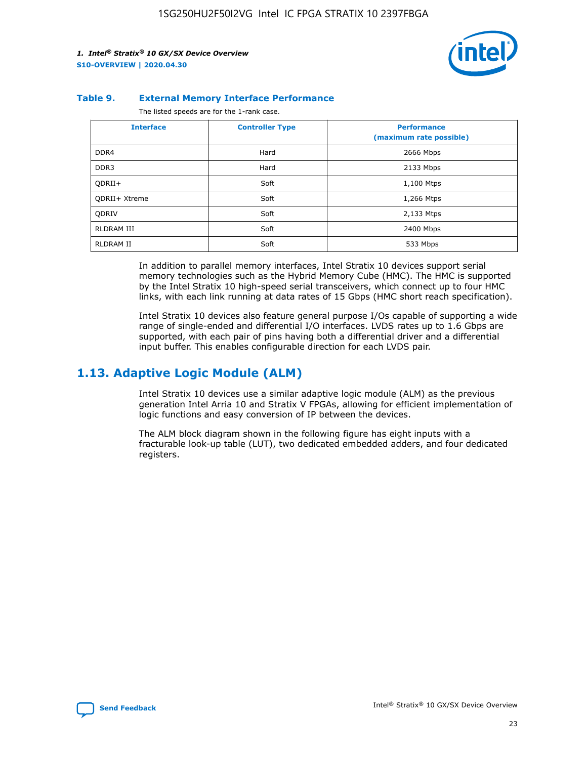

#### **Table 9. External Memory Interface Performance**

The listed speeds are for the 1-rank case.

| <b>Interface</b> | <b>Controller Type</b> | <b>Performance</b><br>(maximum rate possible) |
|------------------|------------------------|-----------------------------------------------|
| DDR4             | Hard                   | 2666 Mbps                                     |
| DDR <sub>3</sub> | Hard                   | 2133 Mbps                                     |
| QDRII+           | Soft                   | 1,100 Mtps                                    |
| QDRII+ Xtreme    | Soft                   | 1,266 Mtps                                    |
| <b>ODRIV</b>     | Soft                   | 2,133 Mtps                                    |
| RLDRAM III       | Soft                   | 2400 Mbps                                     |
| <b>RLDRAM II</b> | Soft                   | 533 Mbps                                      |

In addition to parallel memory interfaces, Intel Stratix 10 devices support serial memory technologies such as the Hybrid Memory Cube (HMC). The HMC is supported by the Intel Stratix 10 high-speed serial transceivers, which connect up to four HMC links, with each link running at data rates of 15 Gbps (HMC short reach specification).

Intel Stratix 10 devices also feature general purpose I/Os capable of supporting a wide range of single-ended and differential I/O interfaces. LVDS rates up to 1.6 Gbps are supported, with each pair of pins having both a differential driver and a differential input buffer. This enables configurable direction for each LVDS pair.

## **1.13. Adaptive Logic Module (ALM)**

Intel Stratix 10 devices use a similar adaptive logic module (ALM) as the previous generation Intel Arria 10 and Stratix V FPGAs, allowing for efficient implementation of logic functions and easy conversion of IP between the devices.

The ALM block diagram shown in the following figure has eight inputs with a fracturable look-up table (LUT), two dedicated embedded adders, and four dedicated registers.

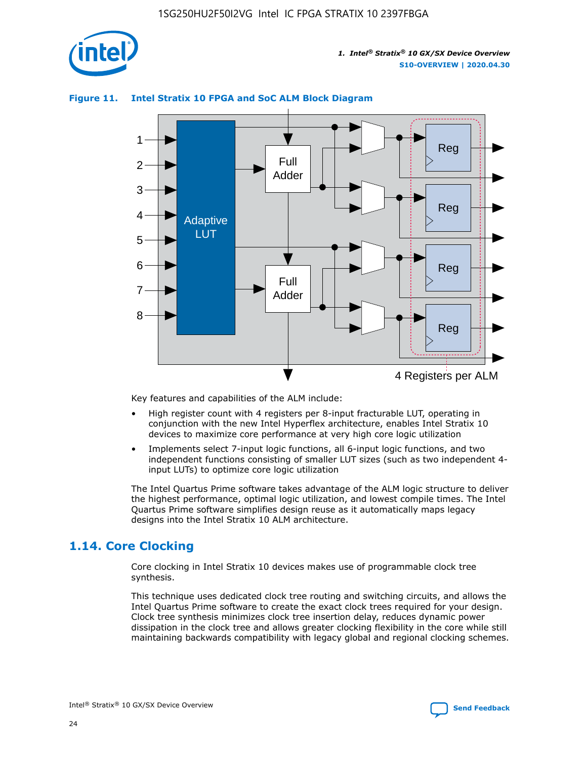

## **Figure 11. Intel Stratix 10 FPGA and SoC ALM Block Diagram**



Key features and capabilities of the ALM include:

- High register count with 4 registers per 8-input fracturable LUT, operating in conjunction with the new Intel Hyperflex architecture, enables Intel Stratix 10 devices to maximize core performance at very high core logic utilization
- Implements select 7-input logic functions, all 6-input logic functions, and two independent functions consisting of smaller LUT sizes (such as two independent 4 input LUTs) to optimize core logic utilization

The Intel Quartus Prime software takes advantage of the ALM logic structure to deliver the highest performance, optimal logic utilization, and lowest compile times. The Intel Quartus Prime software simplifies design reuse as it automatically maps legacy designs into the Intel Stratix 10 ALM architecture.

## **1.14. Core Clocking**

Core clocking in Intel Stratix 10 devices makes use of programmable clock tree synthesis.

This technique uses dedicated clock tree routing and switching circuits, and allows the Intel Quartus Prime software to create the exact clock trees required for your design. Clock tree synthesis minimizes clock tree insertion delay, reduces dynamic power dissipation in the clock tree and allows greater clocking flexibility in the core while still maintaining backwards compatibility with legacy global and regional clocking schemes.

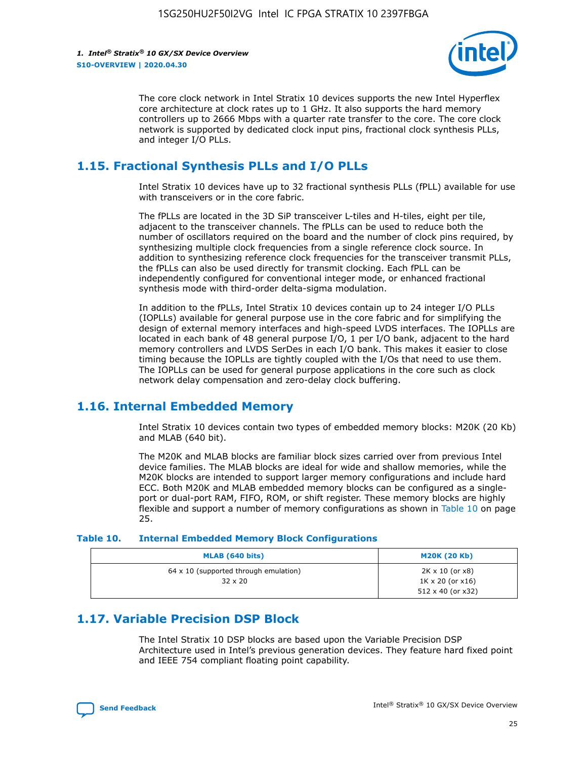

The core clock network in Intel Stratix 10 devices supports the new Intel Hyperflex core architecture at clock rates up to 1 GHz. It also supports the hard memory controllers up to 2666 Mbps with a quarter rate transfer to the core. The core clock network is supported by dedicated clock input pins, fractional clock synthesis PLLs, and integer I/O PLLs.

## **1.15. Fractional Synthesis PLLs and I/O PLLs**

Intel Stratix 10 devices have up to 32 fractional synthesis PLLs (fPLL) available for use with transceivers or in the core fabric.

The fPLLs are located in the 3D SiP transceiver L-tiles and H-tiles, eight per tile, adjacent to the transceiver channels. The fPLLs can be used to reduce both the number of oscillators required on the board and the number of clock pins required, by synthesizing multiple clock frequencies from a single reference clock source. In addition to synthesizing reference clock frequencies for the transceiver transmit PLLs, the fPLLs can also be used directly for transmit clocking. Each fPLL can be independently configured for conventional integer mode, or enhanced fractional synthesis mode with third-order delta-sigma modulation.

In addition to the fPLLs, Intel Stratix 10 devices contain up to 24 integer I/O PLLs (IOPLLs) available for general purpose use in the core fabric and for simplifying the design of external memory interfaces and high-speed LVDS interfaces. The IOPLLs are located in each bank of 48 general purpose I/O, 1 per I/O bank, adjacent to the hard memory controllers and LVDS SerDes in each I/O bank. This makes it easier to close timing because the IOPLLs are tightly coupled with the I/Os that need to use them. The IOPLLs can be used for general purpose applications in the core such as clock network delay compensation and zero-delay clock buffering.

## **1.16. Internal Embedded Memory**

Intel Stratix 10 devices contain two types of embedded memory blocks: M20K (20 Kb) and MLAB (640 bit).

The M20K and MLAB blocks are familiar block sizes carried over from previous Intel device families. The MLAB blocks are ideal for wide and shallow memories, while the M20K blocks are intended to support larger memory configurations and include hard ECC. Both M20K and MLAB embedded memory blocks can be configured as a singleport or dual-port RAM, FIFO, ROM, or shift register. These memory blocks are highly flexible and support a number of memory configurations as shown in Table 10 on page 25.

#### **Table 10. Internal Embedded Memory Block Configurations**

| MLAB (640 bits)                                                | <b>M20K (20 Kb)</b>                                                                    |
|----------------------------------------------------------------|----------------------------------------------------------------------------------------|
| $64 \times 10$ (supported through emulation)<br>$32 \times 20$ | $2K \times 10$ (or $x8$ )<br>$1K \times 20$ (or $x16$ )<br>$512 \times 40$ (or $x32$ ) |

## **1.17. Variable Precision DSP Block**

The Intel Stratix 10 DSP blocks are based upon the Variable Precision DSP Architecture used in Intel's previous generation devices. They feature hard fixed point and IEEE 754 compliant floating point capability.

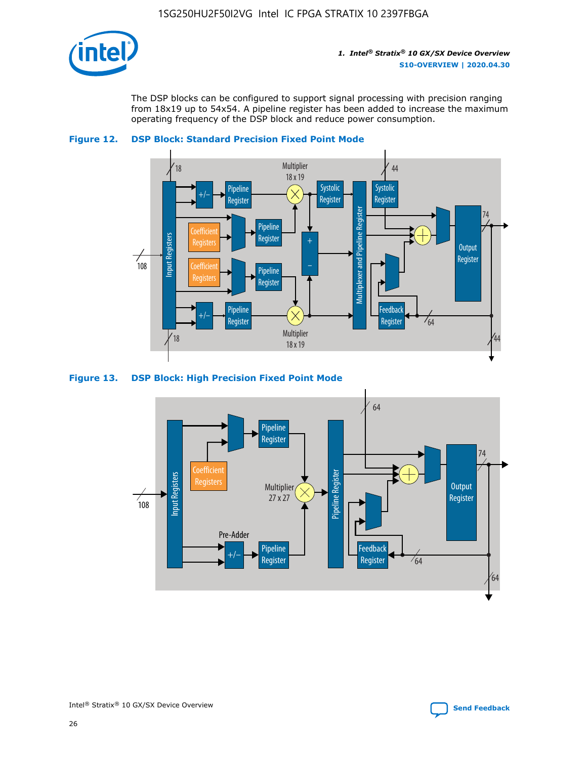

The DSP blocks can be configured to support signal processing with precision ranging from 18x19 up to 54x54. A pipeline register has been added to increase the maximum operating frequency of the DSP block and reduce power consumption.





#### **Figure 13. DSP Block: High Precision Fixed Point Mode**



Intel<sup>®</sup> Stratix<sup>®</sup> 10 GX/SX Device Overview **[Send Feedback](mailto:FPGAtechdocfeedback@intel.com?subject=Feedback%20on%20Intel%20Stratix%2010%20GX/SX%20Device%20Overview%20(S10-OVERVIEW%202020.04.30)&body=We%20appreciate%20your%20feedback.%20In%20your%20comments,%20also%20specify%20the%20page%20number%20or%20paragraph.%20Thank%20you.)** Send Feedback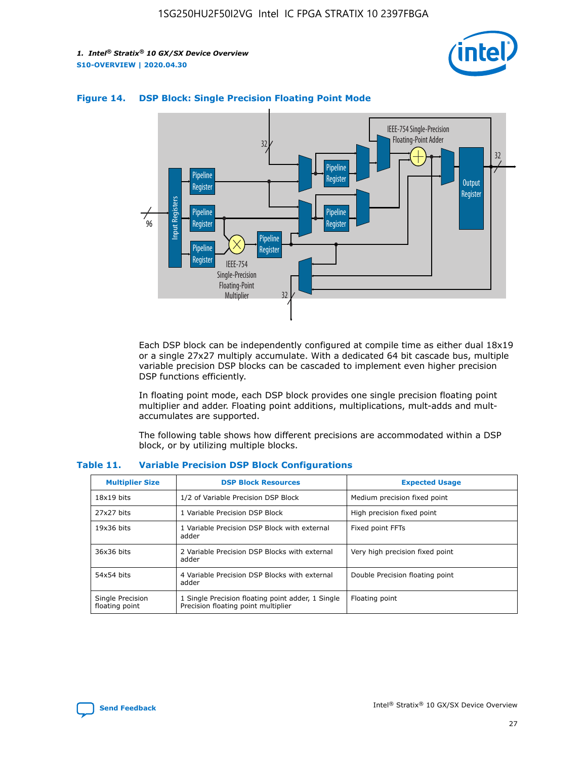



## **Figure 14. DSP Block: Single Precision Floating Point Mode**

Each DSP block can be independently configured at compile time as either dual 18x19 or a single 27x27 multiply accumulate. With a dedicated 64 bit cascade bus, multiple variable precision DSP blocks can be cascaded to implement even higher precision DSP functions efficiently.

In floating point mode, each DSP block provides one single precision floating point multiplier and adder. Floating point additions, multiplications, mult-adds and multaccumulates are supported.

The following table shows how different precisions are accommodated within a DSP block, or by utilizing multiple blocks.

| <b>Multiplier Size</b>             | <b>DSP Block Resources</b>                                                               | <b>Expected Usage</b>           |
|------------------------------------|------------------------------------------------------------------------------------------|---------------------------------|
| $18x19$ bits                       | 1/2 of Variable Precision DSP Block                                                      | Medium precision fixed point    |
| 27x27 bits                         | 1 Variable Precision DSP Block                                                           | High precision fixed point      |
| $19x36$ bits                       | 1 Variable Precision DSP Block with external<br>adder                                    | Fixed point FFTs                |
| 36x36 bits                         | 2 Variable Precision DSP Blocks with external<br>adder                                   | Very high precision fixed point |
| 54x54 bits                         | 4 Variable Precision DSP Blocks with external<br>adder                                   | Double Precision floating point |
| Single Precision<br>floating point | 1 Single Precision floating point adder, 1 Single<br>Precision floating point multiplier | Floating point                  |

#### **Table 11. Variable Precision DSP Block Configurations**

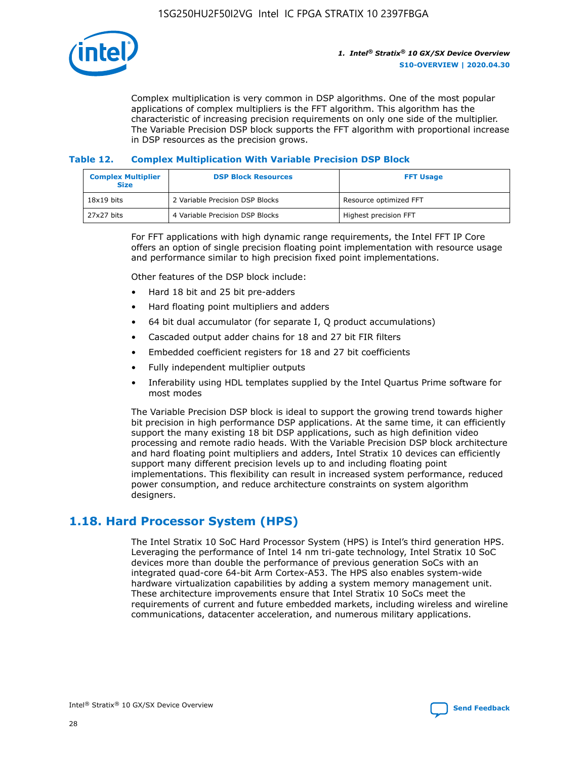

Complex multiplication is very common in DSP algorithms. One of the most popular applications of complex multipliers is the FFT algorithm. This algorithm has the characteristic of increasing precision requirements on only one side of the multiplier. The Variable Precision DSP block supports the FFT algorithm with proportional increase in DSP resources as the precision grows.

## **Table 12. Complex Multiplication With Variable Precision DSP Block**

| <b>Complex Multiplier</b><br><b>Size</b> | <b>DSP Block Resources</b>      | <b>FFT Usage</b>       |  |
|------------------------------------------|---------------------------------|------------------------|--|
| $18x19$ bits                             | 2 Variable Precision DSP Blocks | Resource optimized FFT |  |
| 27x27 bits                               | 4 Variable Precision DSP Blocks | Highest precision FFT  |  |

For FFT applications with high dynamic range requirements, the Intel FFT IP Core offers an option of single precision floating point implementation with resource usage and performance similar to high precision fixed point implementations.

Other features of the DSP block include:

- Hard 18 bit and 25 bit pre-adders
- Hard floating point multipliers and adders
- 64 bit dual accumulator (for separate I, Q product accumulations)
- Cascaded output adder chains for 18 and 27 bit FIR filters
- Embedded coefficient registers for 18 and 27 bit coefficients
- Fully independent multiplier outputs
- Inferability using HDL templates supplied by the Intel Quartus Prime software for most modes

The Variable Precision DSP block is ideal to support the growing trend towards higher bit precision in high performance DSP applications. At the same time, it can efficiently support the many existing 18 bit DSP applications, such as high definition video processing and remote radio heads. With the Variable Precision DSP block architecture and hard floating point multipliers and adders, Intel Stratix 10 devices can efficiently support many different precision levels up to and including floating point implementations. This flexibility can result in increased system performance, reduced power consumption, and reduce architecture constraints on system algorithm designers.

## **1.18. Hard Processor System (HPS)**

The Intel Stratix 10 SoC Hard Processor System (HPS) is Intel's third generation HPS. Leveraging the performance of Intel 14 nm tri-gate technology, Intel Stratix 10 SoC devices more than double the performance of previous generation SoCs with an integrated quad-core 64-bit Arm Cortex-A53. The HPS also enables system-wide hardware virtualization capabilities by adding a system memory management unit. These architecture improvements ensure that Intel Stratix 10 SoCs meet the requirements of current and future embedded markets, including wireless and wireline communications, datacenter acceleration, and numerous military applications.

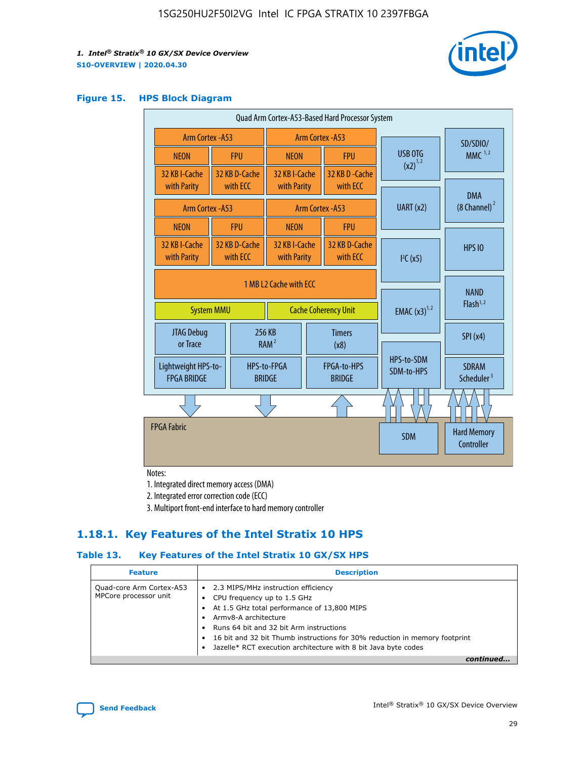

#### **Figure 15. HPS Block Diagram**

| Quad Arm Cortex-A53-Based Hard Processor System |                        |                           |                              |                             |                              |           |                          |                                        |
|-------------------------------------------------|------------------------|---------------------------|------------------------------|-----------------------------|------------------------------|-----------|--------------------------|----------------------------------------|
| <b>Arm Cortex - A53</b>                         |                        |                           | Arm Cortex - A53             |                             |                              |           | SD/SDIO/                 |                                        |
| <b>NEON</b>                                     |                        | <b>FPU</b>                | <b>NEON</b>                  |                             | <b>FPU</b>                   |           | USB OTG                  | $MMC$ <sup>1,2</sup>                   |
| 32 KB I-Cache                                   |                        | 32 KB D-Cache             | 32 KB I-Cache                |                             | 32 KB D - Cache              |           | $(x2)^{1,2}$             |                                        |
| with Parity                                     |                        | with ECC                  | with Parity                  |                             | with ECC                     |           |                          | <b>DMA</b>                             |
| Arm Cortex - A53                                |                        |                           |                              |                             | Arm Cortex - A53             | UART (x2) |                          | $(8 \text{ Channel})^2$                |
| <b>NEON</b>                                     |                        | <b>FPU</b>                | <b>NEON</b>                  |                             | <b>FPU</b>                   |           |                          |                                        |
| 32 KB I-Cache<br>with Parity                    |                        | 32 KB D-Cache<br>with ECC | 32 KB I-Cache<br>with Parity |                             | 32 KB D-Cache<br>with ECC    |           | I <sup>2</sup> C(x5)     | <b>HPS 10</b>                          |
|                                                 | 1 MB L2 Cache with ECC |                           |                              |                             |                              |           |                          |                                        |
| <b>System MMU</b>                               |                        |                           |                              | <b>Cache Coherency Unit</b> |                              |           | <b>EMAC</b> $(x3)^{1,2}$ | <b>NAND</b><br>Flash <sup>1,2</sup>    |
| JTAG Debug<br>or Trace                          |                        |                           | 256 KB<br>RAM <sup>2</sup>   | <b>Timers</b><br>(x8)       |                              |           |                          | SPI(x4)                                |
| Lightweight HPS-to-<br><b>FPGA BRIDGE</b>       |                        |                           | HPS-to-FPGA<br><b>BRIDGE</b> |                             | FPGA-to-HPS<br><b>BRIDGE</b> |           | HPS-to-SDM<br>SDM-to-HPS | <b>SDRAM</b><br>Scheduler <sup>3</sup> |
|                                                 |                        |                           |                              |                             |                              |           |                          |                                        |
| <b>FPGA Fabric</b>                              |                        |                           |                              |                             |                              |           | <b>SDM</b>               | <b>Hard Memory</b><br>Controller       |
|                                                 |                        |                           |                              |                             |                              |           |                          |                                        |

Notes:

1. Integrated direct memory access (DMA)

2. Integrated error correction code (ECC)

3. Multiport front-end interface to hard memory controller

## **1.18.1. Key Features of the Intel Stratix 10 HPS**

## **Table 13. Key Features of the Intel Stratix 10 GX/SX HPS**

| <b>Feature</b>                                    | <b>Description</b>                                                                                                                                                                                                                                                                                                                     |
|---------------------------------------------------|----------------------------------------------------------------------------------------------------------------------------------------------------------------------------------------------------------------------------------------------------------------------------------------------------------------------------------------|
| Quad-core Arm Cortex-A53<br>MPCore processor unit | • 2.3 MIPS/MHz instruction efficiency<br>CPU frequency up to 1.5 GHz<br>At 1.5 GHz total performance of 13,800 MIPS<br>Army8-A architecture<br>Runs 64 bit and 32 bit Arm instructions<br>16 bit and 32 bit Thumb instructions for 30% reduction in memory footprint<br>Jazelle* RCT execution architecture with 8 bit Java byte codes |
|                                                   |                                                                                                                                                                                                                                                                                                                                        |

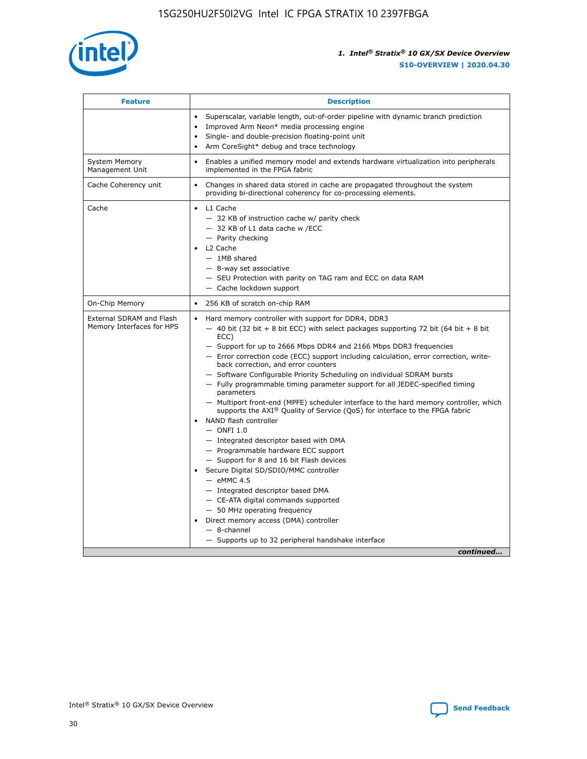

| <b>Feature</b>                                        | <b>Description</b>                                                                                                                                                                                                                                                                                                                                                                                                                                                                                                                                                                                                                                                                                                                                                                                                                                                                                                                                                                                                                                                                                                                                                                                                     |  |
|-------------------------------------------------------|------------------------------------------------------------------------------------------------------------------------------------------------------------------------------------------------------------------------------------------------------------------------------------------------------------------------------------------------------------------------------------------------------------------------------------------------------------------------------------------------------------------------------------------------------------------------------------------------------------------------------------------------------------------------------------------------------------------------------------------------------------------------------------------------------------------------------------------------------------------------------------------------------------------------------------------------------------------------------------------------------------------------------------------------------------------------------------------------------------------------------------------------------------------------------------------------------------------------|--|
|                                                       | Superscalar, variable length, out-of-order pipeline with dynamic branch prediction<br>Improved Arm Neon* media processing engine<br>$\bullet$<br>Single- and double-precision floating-point unit<br>Arm CoreSight* debug and trace technology<br>$\bullet$                                                                                                                                                                                                                                                                                                                                                                                                                                                                                                                                                                                                                                                                                                                                                                                                                                                                                                                                                            |  |
| <b>System Memory</b><br>Management Unit               | Enables a unified memory model and extends hardware virtualization into peripherals<br>$\bullet$<br>implemented in the FPGA fabric                                                                                                                                                                                                                                                                                                                                                                                                                                                                                                                                                                                                                                                                                                                                                                                                                                                                                                                                                                                                                                                                                     |  |
| Cache Coherency unit                                  | $\bullet$<br>Changes in shared data stored in cache are propagated throughout the system<br>providing bi-directional coherency for co-processing elements.                                                                                                                                                                                                                                                                                                                                                                                                                                                                                                                                                                                                                                                                                                                                                                                                                                                                                                                                                                                                                                                             |  |
| Cache                                                 | L1 Cache<br>$\bullet$<br>- 32 KB of instruction cache w/ parity check<br>- 32 KB of L1 data cache w /ECC<br>- Parity checking<br>L2 Cache<br>$-$ 1MB shared<br>- 8-way set associative<br>- SEU Protection with parity on TAG ram and ECC on data RAM<br>- Cache lockdown support                                                                                                                                                                                                                                                                                                                                                                                                                                                                                                                                                                                                                                                                                                                                                                                                                                                                                                                                      |  |
| On-Chip Memory                                        | 256 KB of scratch on-chip RAM<br>$\bullet$                                                                                                                                                                                                                                                                                                                                                                                                                                                                                                                                                                                                                                                                                                                                                                                                                                                                                                                                                                                                                                                                                                                                                                             |  |
| External SDRAM and Flash<br>Memory Interfaces for HPS | Hard memory controller with support for DDR4, DDR3<br>$\bullet$<br>$-$ 40 bit (32 bit + 8 bit ECC) with select packages supporting 72 bit (64 bit + 8 bit<br>ECC)<br>- Support for up to 2666 Mbps DDR4 and 2166 Mbps DDR3 frequencies<br>- Error correction code (ECC) support including calculation, error correction, write-<br>back correction, and error counters<br>- Software Configurable Priority Scheduling on individual SDRAM bursts<br>- Fully programmable timing parameter support for all JEDEC-specified timing<br>parameters<br>- Multiport front-end (MPFE) scheduler interface to the hard memory controller, which<br>supports the $AXI^{\circledR}$ Quality of Service (QoS) for interface to the FPGA fabric<br>NAND flash controller<br>$-$ ONFI 1.0<br>- Integrated descriptor based with DMA<br>- Programmable hardware ECC support<br>- Support for 8 and 16 bit Flash devices<br>Secure Digital SD/SDIO/MMC controller<br>$-$ eMMC 4.5<br>- Integrated descriptor based DMA<br>- CE-ATA digital commands supported<br>- 50 MHz operating frequency<br>Direct memory access (DMA) controller<br>$\bullet$<br>- 8-channel<br>- Supports up to 32 peripheral handshake interface<br>continued |  |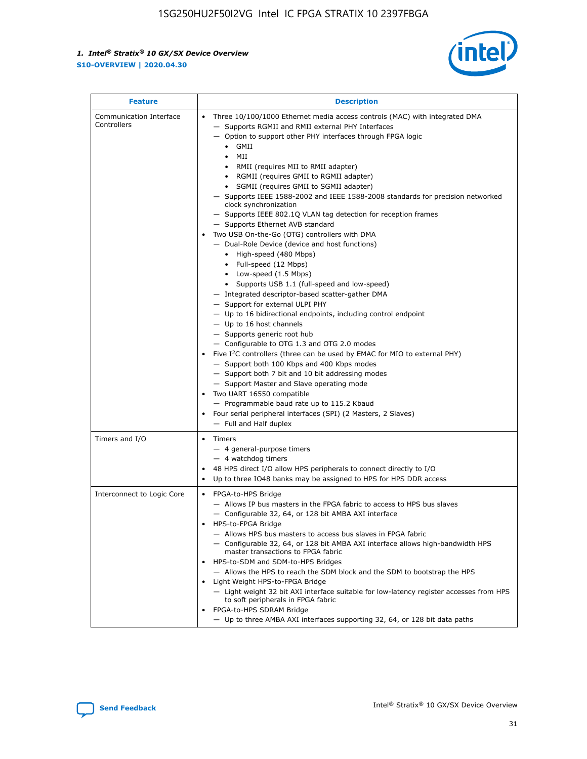

| <b>Feature</b>                         | <b>Description</b>                                                                                                                                                                                                                                                                                                                                                                                                                                                                                                                                                                                                                                                                                                                                                                                                                                                                                                                                                                                                                                                                                                                                                                                                                                                                                                                                                                                                                                                                                                        |  |
|----------------------------------------|---------------------------------------------------------------------------------------------------------------------------------------------------------------------------------------------------------------------------------------------------------------------------------------------------------------------------------------------------------------------------------------------------------------------------------------------------------------------------------------------------------------------------------------------------------------------------------------------------------------------------------------------------------------------------------------------------------------------------------------------------------------------------------------------------------------------------------------------------------------------------------------------------------------------------------------------------------------------------------------------------------------------------------------------------------------------------------------------------------------------------------------------------------------------------------------------------------------------------------------------------------------------------------------------------------------------------------------------------------------------------------------------------------------------------------------------------------------------------------------------------------------------------|--|
| Communication Interface<br>Controllers | Three 10/100/1000 Ethernet media access controls (MAC) with integrated DMA<br>$\bullet$<br>- Supports RGMII and RMII external PHY Interfaces<br>- Option to support other PHY interfaces through FPGA logic<br>GMII<br>$\bullet$<br>MII<br>$\bullet$<br>RMII (requires MII to RMII adapter)<br>$\bullet$<br>• RGMII (requires GMII to RGMII adapter)<br>SGMII (requires GMII to SGMII adapter)<br>- Supports IEEE 1588-2002 and IEEE 1588-2008 standards for precision networked<br>clock synchronization<br>- Supports IEEE 802.1Q VLAN tag detection for reception frames<br>- Supports Ethernet AVB standard<br>Two USB On-the-Go (OTG) controllers with DMA<br>- Dual-Role Device (device and host functions)<br>• High-speed (480 Mbps)<br>• Full-speed (12 Mbps)<br>• Low-speed (1.5 Mbps)<br>• Supports USB 1.1 (full-speed and low-speed)<br>- Integrated descriptor-based scatter-gather DMA<br>- Support for external ULPI PHY<br>- Up to 16 bidirectional endpoints, including control endpoint<br>$-$ Up to 16 host channels<br>- Supports generic root hub<br>- Configurable to OTG 1.3 and OTG 2.0 modes<br>Five $I2C$ controllers (three can be used by EMAC for MIO to external PHY)<br>- Support both 100 Kbps and 400 Kbps modes<br>- Support both 7 bit and 10 bit addressing modes<br>- Support Master and Slave operating mode<br>Two UART 16550 compatible<br>- Programmable baud rate up to 115.2 Kbaud<br>Four serial peripheral interfaces (SPI) (2 Masters, 2 Slaves)<br>- Full and Half duplex |  |
| Timers and I/O                         | • Timers<br>- 4 general-purpose timers<br>$-4$ watchdog timers<br>48 HPS direct I/O allow HPS peripherals to connect directly to I/O<br>Up to three IO48 banks may be assigned to HPS for HPS DDR access                                                                                                                                                                                                                                                                                                                                                                                                                                                                                                                                                                                                                                                                                                                                                                                                                                                                                                                                                                                                                                                                                                                                                                                                                                                                                                                  |  |
| Interconnect to Logic Core             | • FPGA-to-HPS Bridge<br>- Allows IP bus masters in the FPGA fabric to access to HPS bus slaves<br>- Configurable 32, 64, or 128 bit AMBA AXI interface<br>HPS-to-FPGA Bridge<br>- Allows HPS bus masters to access bus slaves in FPGA fabric<br>- Configurable 32, 64, or 128 bit AMBA AXI interface allows high-bandwidth HPS<br>master transactions to FPGA fabric<br>HPS-to-SDM and SDM-to-HPS Bridges<br>- Allows the HPS to reach the SDM block and the SDM to bootstrap the HPS<br>Light Weight HPS-to-FPGA Bridge<br>- Light weight 32 bit AXI interface suitable for low-latency register accesses from HPS<br>to soft peripherals in FPGA fabric<br>FPGA-to-HPS SDRAM Bridge<br>- Up to three AMBA AXI interfaces supporting 32, 64, or 128 bit data paths                                                                                                                                                                                                                                                                                                                                                                                                                                                                                                                                                                                                                                                                                                                                                       |  |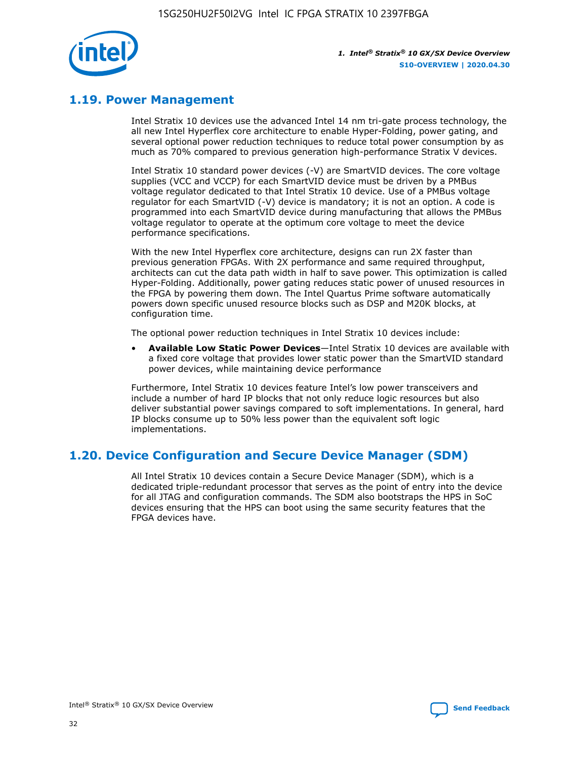

## **1.19. Power Management**

Intel Stratix 10 devices use the advanced Intel 14 nm tri-gate process technology, the all new Intel Hyperflex core architecture to enable Hyper-Folding, power gating, and several optional power reduction techniques to reduce total power consumption by as much as 70% compared to previous generation high-performance Stratix V devices.

Intel Stratix 10 standard power devices (-V) are SmartVID devices. The core voltage supplies (VCC and VCCP) for each SmartVID device must be driven by a PMBus voltage regulator dedicated to that Intel Stratix 10 device. Use of a PMBus voltage regulator for each SmartVID (-V) device is mandatory; it is not an option. A code is programmed into each SmartVID device during manufacturing that allows the PMBus voltage regulator to operate at the optimum core voltage to meet the device performance specifications.

With the new Intel Hyperflex core architecture, designs can run 2X faster than previous generation FPGAs. With 2X performance and same required throughput, architects can cut the data path width in half to save power. This optimization is called Hyper-Folding. Additionally, power gating reduces static power of unused resources in the FPGA by powering them down. The Intel Quartus Prime software automatically powers down specific unused resource blocks such as DSP and M20K blocks, at configuration time.

The optional power reduction techniques in Intel Stratix 10 devices include:

• **Available Low Static Power Devices**—Intel Stratix 10 devices are available with a fixed core voltage that provides lower static power than the SmartVID standard power devices, while maintaining device performance

Furthermore, Intel Stratix 10 devices feature Intel's low power transceivers and include a number of hard IP blocks that not only reduce logic resources but also deliver substantial power savings compared to soft implementations. In general, hard IP blocks consume up to 50% less power than the equivalent soft logic implementations.

## **1.20. Device Configuration and Secure Device Manager (SDM)**

All Intel Stratix 10 devices contain a Secure Device Manager (SDM), which is a dedicated triple-redundant processor that serves as the point of entry into the device for all JTAG and configuration commands. The SDM also bootstraps the HPS in SoC devices ensuring that the HPS can boot using the same security features that the FPGA devices have.

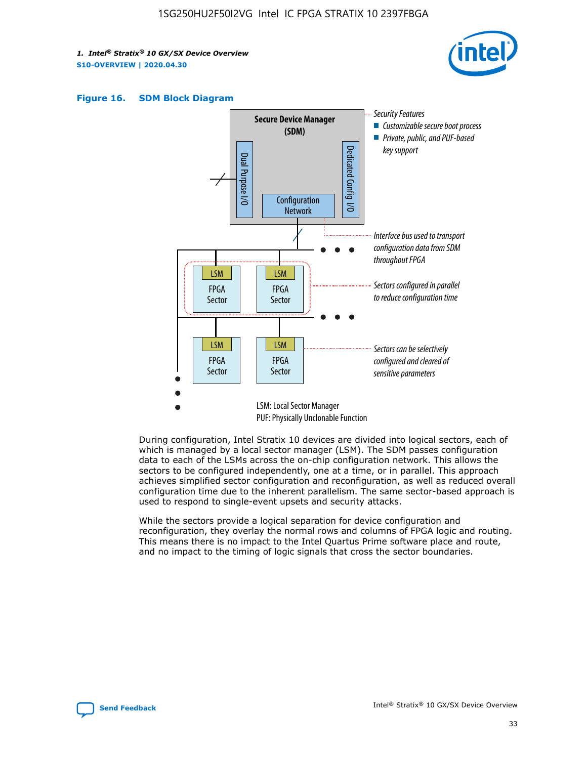





During configuration, Intel Stratix 10 devices are divided into logical sectors, each of which is managed by a local sector manager (LSM). The SDM passes configuration data to each of the LSMs across the on-chip configuration network. This allows the sectors to be configured independently, one at a time, or in parallel. This approach achieves simplified sector configuration and reconfiguration, as well as reduced overall configuration time due to the inherent parallelism. The same sector-based approach is used to respond to single-event upsets and security attacks.

While the sectors provide a logical separation for device configuration and reconfiguration, they overlay the normal rows and columns of FPGA logic and routing. This means there is no impact to the Intel Quartus Prime software place and route, and no impact to the timing of logic signals that cross the sector boundaries.

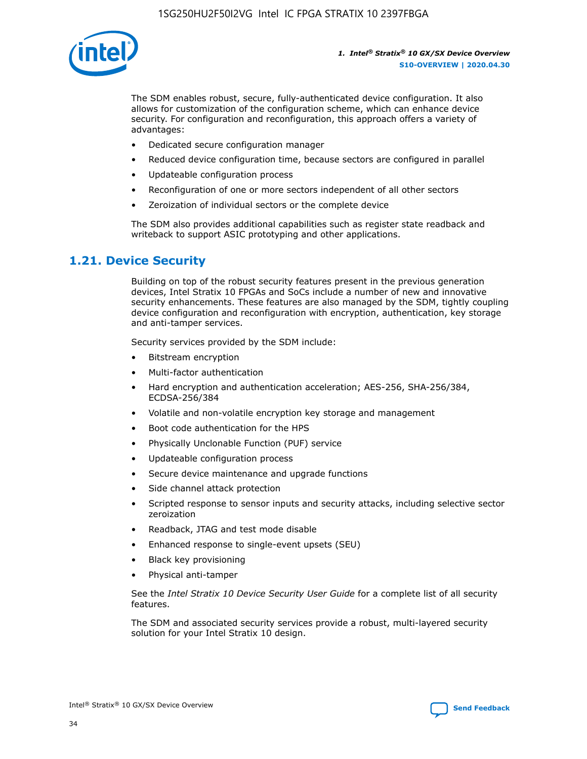

The SDM enables robust, secure, fully-authenticated device configuration. It also allows for customization of the configuration scheme, which can enhance device security. For configuration and reconfiguration, this approach offers a variety of advantages:

- Dedicated secure configuration manager
- Reduced device configuration time, because sectors are configured in parallel
- Updateable configuration process
- Reconfiguration of one or more sectors independent of all other sectors
- Zeroization of individual sectors or the complete device

The SDM also provides additional capabilities such as register state readback and writeback to support ASIC prototyping and other applications.

## **1.21. Device Security**

Building on top of the robust security features present in the previous generation devices, Intel Stratix 10 FPGAs and SoCs include a number of new and innovative security enhancements. These features are also managed by the SDM, tightly coupling device configuration and reconfiguration with encryption, authentication, key storage and anti-tamper services.

Security services provided by the SDM include:

- Bitstream encryption
- Multi-factor authentication
- Hard encryption and authentication acceleration; AES-256, SHA-256/384, ECDSA-256/384
- Volatile and non-volatile encryption key storage and management
- Boot code authentication for the HPS
- Physically Unclonable Function (PUF) service
- Updateable configuration process
- Secure device maintenance and upgrade functions
- Side channel attack protection
- Scripted response to sensor inputs and security attacks, including selective sector zeroization
- Readback, JTAG and test mode disable
- Enhanced response to single-event upsets (SEU)
- Black key provisioning
- Physical anti-tamper

See the *Intel Stratix 10 Device Security User Guide* for a complete list of all security features.

The SDM and associated security services provide a robust, multi-layered security solution for your Intel Stratix 10 design.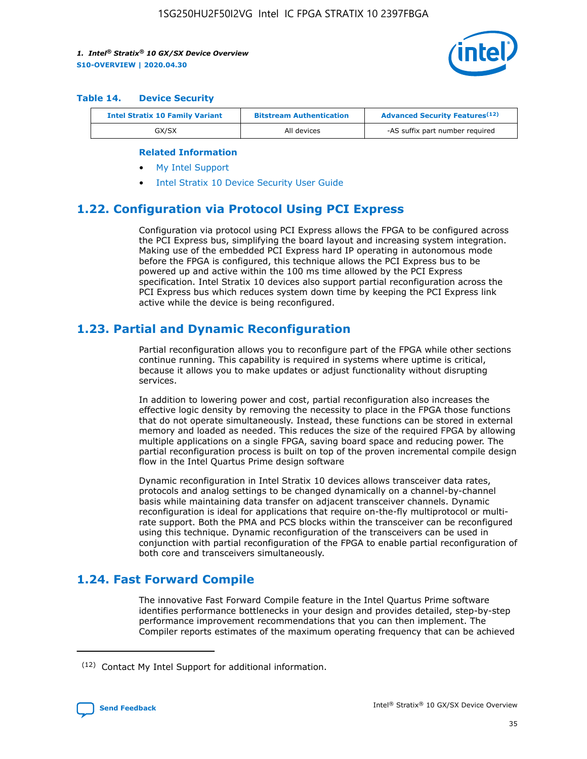

#### **Table 14. Device Security**

| <b>Intel Stratix 10 Family Variant</b> | <b>Bitstream Authentication</b> | <b>Advanced Security Features</b> <sup>(12)</sup> |  |  |
|----------------------------------------|---------------------------------|---------------------------------------------------|--|--|
| GX/SX                                  | All devices                     | -AS suffix part number required                   |  |  |

#### **Related Information**

- [My Intel Support](https://www.intel.com/content/www/us/en/programmable/my-intel/mal-home.html)
- [Intel Stratix 10 Device Security User Guide](https://www.intel.com/content/www/us/en/programmable/documentation/ndq1483601370898.html#wcd1483611014402)

## **1.22. Configuration via Protocol Using PCI Express**

Configuration via protocol using PCI Express allows the FPGA to be configured across the PCI Express bus, simplifying the board layout and increasing system integration. Making use of the embedded PCI Express hard IP operating in autonomous mode before the FPGA is configured, this technique allows the PCI Express bus to be powered up and active within the 100 ms time allowed by the PCI Express specification. Intel Stratix 10 devices also support partial reconfiguration across the PCI Express bus which reduces system down time by keeping the PCI Express link active while the device is being reconfigured.

## **1.23. Partial and Dynamic Reconfiguration**

Partial reconfiguration allows you to reconfigure part of the FPGA while other sections continue running. This capability is required in systems where uptime is critical, because it allows you to make updates or adjust functionality without disrupting services.

In addition to lowering power and cost, partial reconfiguration also increases the effective logic density by removing the necessity to place in the FPGA those functions that do not operate simultaneously. Instead, these functions can be stored in external memory and loaded as needed. This reduces the size of the required FPGA by allowing multiple applications on a single FPGA, saving board space and reducing power. The partial reconfiguration process is built on top of the proven incremental compile design flow in the Intel Quartus Prime design software

Dynamic reconfiguration in Intel Stratix 10 devices allows transceiver data rates, protocols and analog settings to be changed dynamically on a channel-by-channel basis while maintaining data transfer on adjacent transceiver channels. Dynamic reconfiguration is ideal for applications that require on-the-fly multiprotocol or multirate support. Both the PMA and PCS blocks within the transceiver can be reconfigured using this technique. Dynamic reconfiguration of the transceivers can be used in conjunction with partial reconfiguration of the FPGA to enable partial reconfiguration of both core and transceivers simultaneously.

## **1.24. Fast Forward Compile**

The innovative Fast Forward Compile feature in the Intel Quartus Prime software identifies performance bottlenecks in your design and provides detailed, step-by-step performance improvement recommendations that you can then implement. The Compiler reports estimates of the maximum operating frequency that can be achieved

<sup>(12)</sup> Contact My Intel Support for additional information.

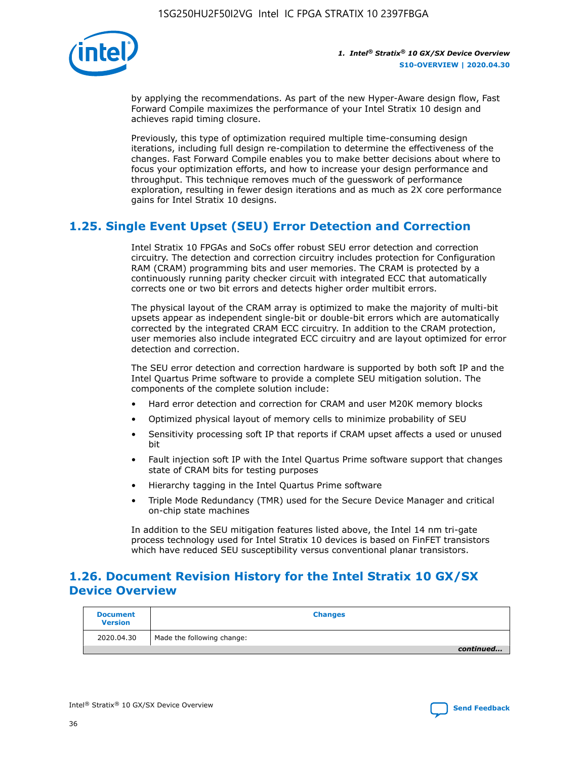

by applying the recommendations. As part of the new Hyper-Aware design flow, Fast Forward Compile maximizes the performance of your Intel Stratix 10 design and achieves rapid timing closure.

Previously, this type of optimization required multiple time-consuming design iterations, including full design re-compilation to determine the effectiveness of the changes. Fast Forward Compile enables you to make better decisions about where to focus your optimization efforts, and how to increase your design performance and throughput. This technique removes much of the guesswork of performance exploration, resulting in fewer design iterations and as much as 2X core performance gains for Intel Stratix 10 designs.

## **1.25. Single Event Upset (SEU) Error Detection and Correction**

Intel Stratix 10 FPGAs and SoCs offer robust SEU error detection and correction circuitry. The detection and correction circuitry includes protection for Configuration RAM (CRAM) programming bits and user memories. The CRAM is protected by a continuously running parity checker circuit with integrated ECC that automatically corrects one or two bit errors and detects higher order multibit errors.

The physical layout of the CRAM array is optimized to make the majority of multi-bit upsets appear as independent single-bit or double-bit errors which are automatically corrected by the integrated CRAM ECC circuitry. In addition to the CRAM protection, user memories also include integrated ECC circuitry and are layout optimized for error detection and correction.

The SEU error detection and correction hardware is supported by both soft IP and the Intel Quartus Prime software to provide a complete SEU mitigation solution. The components of the complete solution include:

- Hard error detection and correction for CRAM and user M20K memory blocks
- Optimized physical layout of memory cells to minimize probability of SEU
- Sensitivity processing soft IP that reports if CRAM upset affects a used or unused bit
- Fault injection soft IP with the Intel Quartus Prime software support that changes state of CRAM bits for testing purposes
- Hierarchy tagging in the Intel Quartus Prime software
- Triple Mode Redundancy (TMR) used for the Secure Device Manager and critical on-chip state machines

In addition to the SEU mitigation features listed above, the Intel 14 nm tri-gate process technology used for Intel Stratix 10 devices is based on FinFET transistors which have reduced SEU susceptibility versus conventional planar transistors.

## **1.26. Document Revision History for the Intel Stratix 10 GX/SX Device Overview**

| <b>Document</b><br><b>Version</b> | <b>Changes</b>             |
|-----------------------------------|----------------------------|
| 2020.04.30                        | Made the following change: |
|                                   | continued                  |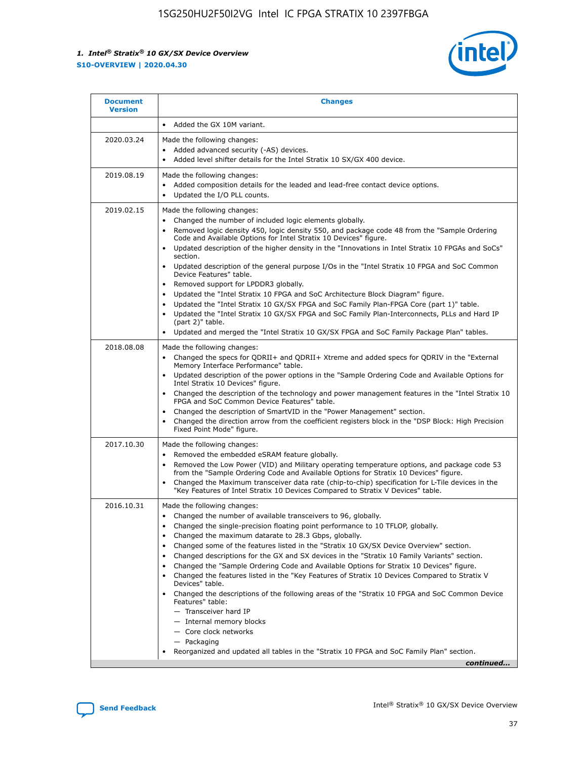

| <b>Document</b><br><b>Version</b> | <b>Changes</b>                                                                                                                                                                                                                                                                                                                                                                                                                                                                                                                                                                                                                                                                                                                                                                                                                                                                                                                                                                                              |
|-----------------------------------|-------------------------------------------------------------------------------------------------------------------------------------------------------------------------------------------------------------------------------------------------------------------------------------------------------------------------------------------------------------------------------------------------------------------------------------------------------------------------------------------------------------------------------------------------------------------------------------------------------------------------------------------------------------------------------------------------------------------------------------------------------------------------------------------------------------------------------------------------------------------------------------------------------------------------------------------------------------------------------------------------------------|
|                                   | Added the GX 10M variant.                                                                                                                                                                                                                                                                                                                                                                                                                                                                                                                                                                                                                                                                                                                                                                                                                                                                                                                                                                                   |
| 2020.03.24                        | Made the following changes:<br>Added advanced security (-AS) devices.<br>Added level shifter details for the Intel Stratix 10 SX/GX 400 device.                                                                                                                                                                                                                                                                                                                                                                                                                                                                                                                                                                                                                                                                                                                                                                                                                                                             |
| 2019.08.19                        | Made the following changes:<br>Added composition details for the leaded and lead-free contact device options.<br>$\bullet$<br>Updated the I/O PLL counts.                                                                                                                                                                                                                                                                                                                                                                                                                                                                                                                                                                                                                                                                                                                                                                                                                                                   |
| 2019.02.15                        | Made the following changes:<br>Changed the number of included logic elements globally.<br>$\bullet$<br>Removed logic density 450, logic density 550, and package code 48 from the "Sample Ordering<br>$\bullet$<br>Code and Available Options for Intel Stratix 10 Devices" figure.<br>Updated description of the higher density in the "Innovations in Intel Stratix 10 FPGAs and SoCs"<br>section.<br>Updated description of the general purpose I/Os in the "Intel Stratix 10 FPGA and SoC Common<br>$\bullet$<br>Device Features" table.<br>Removed support for LPDDR3 globally.<br>Updated the "Intel Stratix 10 FPGA and SoC Architecture Block Diagram" figure.<br>$\bullet$<br>Updated the "Intel Stratix 10 GX/SX FPGA and SoC Family Plan-FPGA Core (part 1)" table.<br>$\bullet$<br>Updated the "Intel Stratix 10 GX/SX FPGA and SoC Family Plan-Interconnects, PLLs and Hard IP<br>(part 2)" table.<br>Updated and merged the "Intel Stratix 10 GX/SX FPGA and SoC Family Package Plan" tables. |
| 2018.08.08                        | Made the following changes:<br>Changed the specs for QDRII+ and QDRII+ Xtreme and added specs for QDRIV in the "External<br>$\bullet$<br>Memory Interface Performance" table.<br>Updated description of the power options in the "Sample Ordering Code and Available Options for<br>Intel Stratix 10 Devices" figure.<br>Changed the description of the technology and power management features in the "Intel Stratix 10<br>FPGA and SoC Common Device Features" table.<br>Changed the description of SmartVID in the "Power Management" section.<br>Changed the direction arrow from the coefficient registers block in the "DSP Block: High Precision<br>$\bullet$<br>Fixed Point Mode" figure.                                                                                                                                                                                                                                                                                                          |
| 2017.10.30                        | Made the following changes:<br>Removed the embedded eSRAM feature globally.<br>$\bullet$<br>Removed the Low Power (VID) and Military operating temperature options, and package code 53<br>$\bullet$<br>from the "Sample Ordering Code and Available Options for Stratix 10 Devices" figure.<br>Changed the Maximum transceiver data rate (chip-to-chip) specification for L-Tile devices in the<br>"Key Features of Intel Stratix 10 Devices Compared to Stratix V Devices" table.                                                                                                                                                                                                                                                                                                                                                                                                                                                                                                                         |
| 2016.10.31                        | Made the following changes:<br>• Changed the number of available transceivers to 96, globally.<br>Changed the single-precision floating point performance to 10 TFLOP, globally.<br>Changed the maximum datarate to 28.3 Gbps, globally.<br>٠<br>Changed some of the features listed in the "Stratix 10 GX/SX Device Overview" section.<br>$\bullet$<br>Changed descriptions for the GX and SX devices in the "Stratix 10 Family Variants" section.<br>$\bullet$<br>Changed the "Sample Ordering Code and Available Options for Stratix 10 Devices" figure.<br>Changed the features listed in the "Key Features of Stratix 10 Devices Compared to Stratix V<br>Devices" table.<br>Changed the descriptions of the following areas of the "Stratix 10 FPGA and SoC Common Device<br>Features" table:<br>- Transceiver hard IP<br>- Internal memory blocks<br>- Core clock networks<br>- Packaging<br>Reorganized and updated all tables in the "Stratix 10 FPGA and SoC Family Plan" section.                |
|                                   | continued                                                                                                                                                                                                                                                                                                                                                                                                                                                                                                                                                                                                                                                                                                                                                                                                                                                                                                                                                                                                   |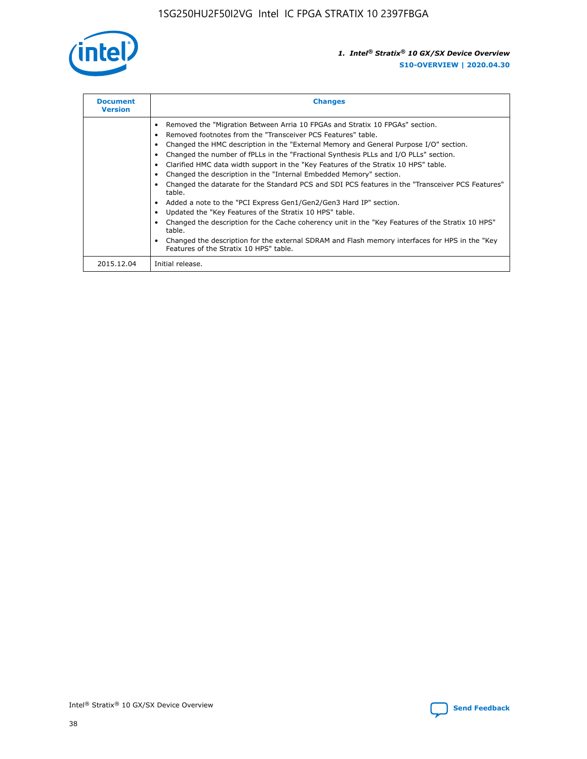

| <b>Document</b><br><b>Version</b> | <b>Changes</b>                                                                                                                                                                                                                                                                                                                                                                                                                                                                                                                                                                                                                                                                                                                                                                                                                                                                                                                                                                                     |
|-----------------------------------|----------------------------------------------------------------------------------------------------------------------------------------------------------------------------------------------------------------------------------------------------------------------------------------------------------------------------------------------------------------------------------------------------------------------------------------------------------------------------------------------------------------------------------------------------------------------------------------------------------------------------------------------------------------------------------------------------------------------------------------------------------------------------------------------------------------------------------------------------------------------------------------------------------------------------------------------------------------------------------------------------|
|                                   | Removed the "Migration Between Arria 10 FPGAs and Stratix 10 FPGAs" section.<br>Removed footnotes from the "Transceiver PCS Features" table.<br>Changed the HMC description in the "External Memory and General Purpose I/O" section.<br>Changed the number of fPLLs in the "Fractional Synthesis PLLs and I/O PLLs" section.<br>Clarified HMC data width support in the "Key Features of the Stratix 10 HPS" table.<br>Changed the description in the "Internal Embedded Memory" section.<br>Changed the datarate for the Standard PCS and SDI PCS features in the "Transceiver PCS Features"<br>table.<br>Added a note to the "PCI Express Gen1/Gen2/Gen3 Hard IP" section.<br>Updated the "Key Features of the Stratix 10 HPS" table.<br>Changed the description for the Cache coherency unit in the "Key Features of the Stratix 10 HPS"<br>table.<br>Changed the description for the external SDRAM and Flash memory interfaces for HPS in the "Key<br>Features of the Stratix 10 HPS" table. |
| 2015.12.04                        | Initial release.                                                                                                                                                                                                                                                                                                                                                                                                                                                                                                                                                                                                                                                                                                                                                                                                                                                                                                                                                                                   |